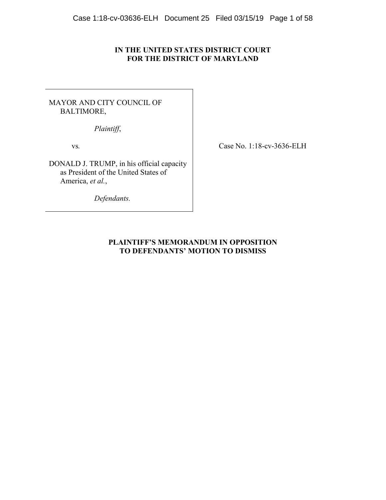# **IN THE UNITED STATES DISTRICT COURT FOR THE DISTRICT OF MARYLAND**

# MAYOR AND CITY COUNCIL OF BALTIMORE,

*Plaintiff*,

vs*.*

DONALD J. TRUMP, in his official capacity as President of the United States of America, *et al.*,

*Defendants.*

Case No. 1:18-cv-3636-ELH

# **PLAINTIFF'S MEMORANDUM IN OPPOSITION TO DEFENDANTS' MOTION TO DISMISS**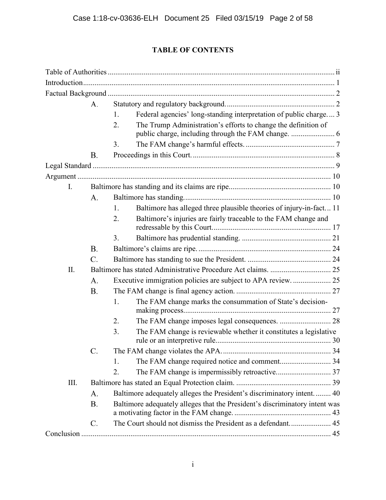# **TABLE OF CONTENTS**

|      | A.              |                                                                             |  |
|------|-----------------|-----------------------------------------------------------------------------|--|
|      |                 | Federal agencies' long-standing interpretation of public charge 3<br>1.     |  |
|      |                 | The Trump Administration's efforts to change the definition of<br>2.        |  |
|      |                 |                                                                             |  |
|      |                 | 3.                                                                          |  |
|      | <b>B.</b>       |                                                                             |  |
|      |                 |                                                                             |  |
|      |                 |                                                                             |  |
| I.   |                 |                                                                             |  |
|      | A.              |                                                                             |  |
|      |                 | Baltimore has alleged three plausible theories of injury-in-fact 11<br>1.   |  |
|      |                 | Baltimore's injuries are fairly traceable to the FAM change and<br>2.       |  |
|      |                 |                                                                             |  |
|      |                 | 3.                                                                          |  |
|      | <b>B.</b>       |                                                                             |  |
|      | $\mathcal{C}$ . |                                                                             |  |
| II.  |                 |                                                                             |  |
|      | A.              |                                                                             |  |
|      | <b>B.</b>       |                                                                             |  |
|      |                 | The FAM change marks the consummation of State's decision-<br>1.            |  |
|      |                 | The FAM change imposes legal consequences.  28<br>2.                        |  |
|      |                 | The FAM change is reviewable whether it constitutes a legislative<br>3.     |  |
|      |                 |                                                                             |  |
|      |                 |                                                                             |  |
|      |                 | 1.                                                                          |  |
|      |                 | 2.                                                                          |  |
| III. |                 |                                                                             |  |
|      | A.              | Baltimore adequately alleges the President's discriminatory intent 40       |  |
|      | <b>B.</b>       | Baltimore adequately alleges that the President's discriminatory intent was |  |
|      |                 |                                                                             |  |
|      | $\mathcal{C}$ . |                                                                             |  |
|      |                 |                                                                             |  |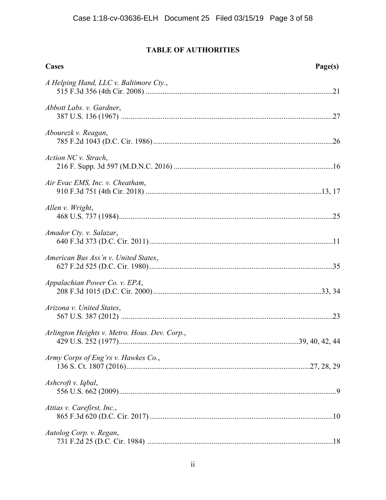# **TABLE OF AUTHORITIES**

| <b>Cases</b>                                  | Page(s) |
|-----------------------------------------------|---------|
| A Helping Hand, LLC v. Baltimore Cty.,        |         |
| Abbott Labs. v. Gardner,                      |         |
| Abourezk v. Reagan,                           |         |
| Action NC v. Strach,                          |         |
| Air Evac EMS, Inc. v. Cheatham,               |         |
| Allen v. Wright,                              |         |
| Amador Cty. v. Salazar,                       |         |
| American Bus Ass'n v. United States,          |         |
| Appalachian Power Co. v. EPA,                 |         |
| Arizona v. United States,                     |         |
| Arlington Heights v. Metro. Hous. Dev. Corp., |         |
| Army Corps of Eng'rs v. Hawkes Co.,           |         |
| Ashcroft v. Iqbal,                            |         |
| Attias v. Carefirst, Inc.,                    |         |
| Autolog Corp. v. Regan,                       |         |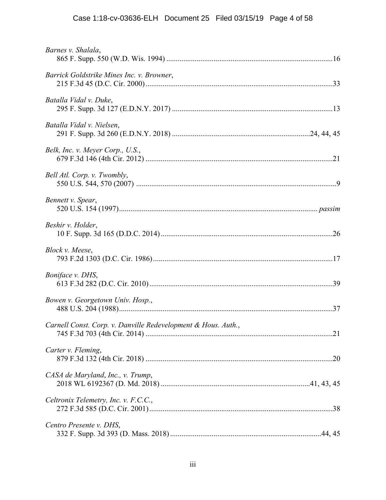| Barnes v. Shalala,                                            |
|---------------------------------------------------------------|
| Barrick Goldstrike Mines Inc. v. Browner,                     |
| Batalla Vidal v. Duke,                                        |
| Batalla Vidal v. Nielsen,                                     |
| Belk, Inc. v. Meyer Corp., U.S.,                              |
| Bell Atl. Corp. v. Twombly,                                   |
| Bennett v. Spear,                                             |
| Beshir v. Holder,                                             |
| Block v. Meese,                                               |
| Boniface v. DHS,                                              |
| Bowen v. Georgetown Univ. Hosp.,                              |
| Carnell Const. Corp. v. Danville Redevelopment & Hous. Auth., |
| Carter v. Fleming,                                            |
| CASA de Maryland, Inc., v. Trump,                             |
| Celtronix Telemetry, Inc. v. F.C.C.,                          |
| Centro Presente v. DHS,                                       |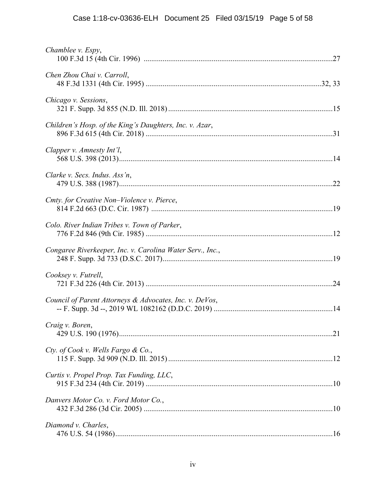| Chamblee v. Espy,                                         |
|-----------------------------------------------------------|
| Chen Zhou Chai v. Carroll,                                |
| Chicago v. Sessions,                                      |
| Children's Hosp. of the King's Daughters, Inc. v. Azar,   |
| Clapper v. Amnesty Int'l,                                 |
| Clarke v. Secs. Indus. Ass'n,                             |
| Cmty. for Creative Non-Violence v. Pierce,                |
| Colo. River Indian Tribes v. Town of Parker,              |
| Congaree Riverkeeper, Inc. v. Carolina Water Serv., Inc., |
| Cooksey v. Futrell,                                       |
| Council of Parent Attorneys & Advocates, Inc. v. DeVos,   |
| Craig v. Boren,                                           |
| Cty. of Cook v. Wells Fargo & Co.,                        |
| Curtis v. Propel Prop. Tax Funding, LLC,                  |
| Danvers Motor Co. v. Ford Motor Co.,                      |
| Diamond v. Charles,                                       |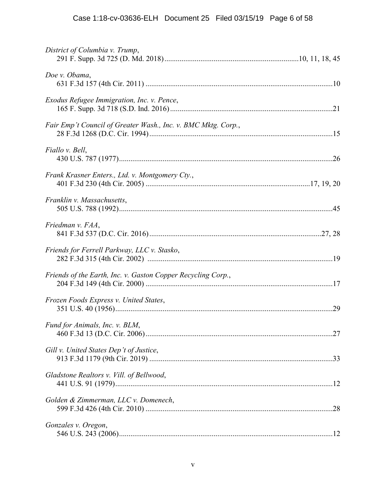| District of Columbia v. Trump,                                |
|---------------------------------------------------------------|
| Doe v. Obama,                                                 |
| Exodus Refugee Immigration, Inc. v. Pence,                    |
| Fair Emp't Council of Greater Wash., Inc. v. BMC Mktg. Corp., |
| Fiallo v. Bell,                                               |
| Frank Krasner Enters., Ltd. v. Montgomery Cty.,               |
| Franklin v. Massachusetts,                                    |
| Friedman v. FAA,                                              |
| Friends for Ferrell Parkway, LLC v. Stasko,                   |
| Friends of the Earth, Inc. v. Gaston Copper Recycling Corp.,  |
| Frozen Foods Express v. United States,                        |
| Fund for Animals, Inc. v. BLM,                                |
| Gill v. United States Dep't of Justice,                       |
| Gladstone Realtors v. Vill. of Bellwood,                      |
| Golden & Zimmerman, LLC v. Domenech,                          |
| Gonzales v. Oregon,                                           |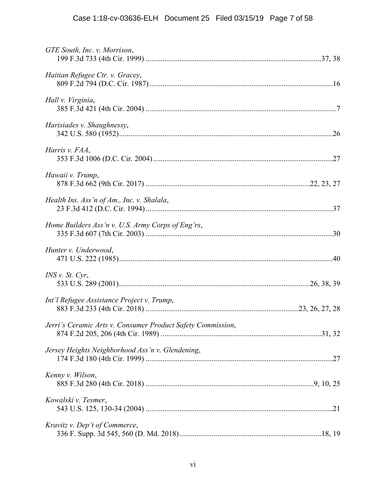| GTE South, Inc. v. Morrison,                                |  |
|-------------------------------------------------------------|--|
| Haitian Refugee Ctr. v. Gracey,                             |  |
| Hall v. Virginia,                                           |  |
| Harisiades v. Shaughnessy,                                  |  |
| Harris v. FAA,                                              |  |
| Hawaii v. Trump,                                            |  |
| Health Ins. Ass'n of Am., Inc. v. Shalala,                  |  |
| Home Builders Ass'n v. U.S. Army Corps of Eng'rs,           |  |
| Hunter v. Underwood,                                        |  |
| $INS$ v. St. Cyr,                                           |  |
| Int'l Refugee Assistance Project v. Trump,                  |  |
| Jerri's Ceramic Arts v. Consumer Product Safety Commission, |  |
| Jersey Heights Neighborhood Ass'n v. Glendening,            |  |
| Kenny v. Wilson,                                            |  |
| Kowalski v. Tesmer,                                         |  |
| Kravitz v. Dep't of Commerce,                               |  |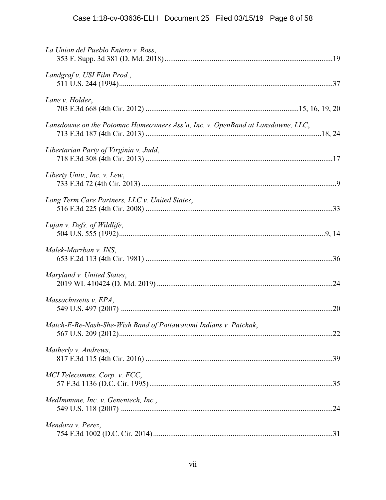| La Union del Pueblo Entero v. Ross,                                            |
|--------------------------------------------------------------------------------|
| Landgraf v. USI Film Prod.,                                                    |
| Lane v. Holder,                                                                |
| Lansdowne on the Potomac Homeowners Ass'n, Inc. v. OpenBand at Lansdowne, LLC, |
| Libertarian Party of Virginia v. Judd,                                         |
| Liberty Univ., Inc. v. Lew,                                                    |
| Long Term Care Partners, LLC v. United States,                                 |
| Lujan v. Defs. of Wildlife,                                                    |
| Malek-Marzban v. INS,                                                          |
| Maryland v. United States,                                                     |
| Massachusetts v. EPA,                                                          |
| Match-E-Be-Nash-She-Wish Band of Pottawatomi Indians v. Patchak,               |
| Matherly v. Andrews,                                                           |
| MCI Telecomms. Corp. v. FCC,                                                   |
| MedImmune, Inc. v. Genentech, Inc.,                                            |
| Mendoza v. Perez,                                                              |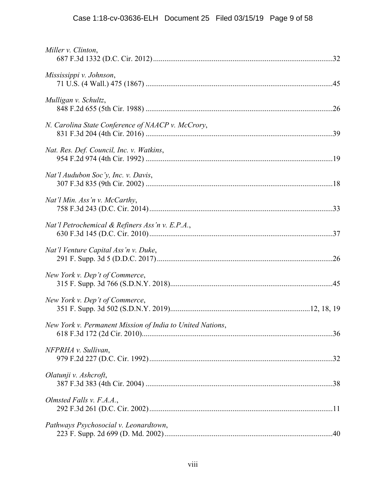| Miller v. Clinton,                                        |
|-----------------------------------------------------------|
| Mississippi v. Johnson,                                   |
| Mulligan v. Schultz,                                      |
| N. Carolina State Conference of NAACP v. McCrory,         |
| Nat. Res. Def. Council, Inc. v. Watkins,                  |
| Nat'l Audubon Soc'y, Inc. v. Davis,                       |
| Nat'l Min. Ass'n v. McCarthy,                             |
| Nat'l Petrochemical & Refiners Ass'n v. E.P.A.,           |
| Nat'l Venture Capital Ass'n v. Duke,                      |
| New York v. Dep't of Commerce,                            |
| New York v. Dep't of Commerce,                            |
| New York v. Permanent Mission of India to United Nations, |
| NFPRHA v. Sullivan,                                       |
| Olatunji v. Ashcroft,                                     |
| Olmsted Falls v. F.A.A.,                                  |
| Pathways Psychosocial v. Leonardtown,                     |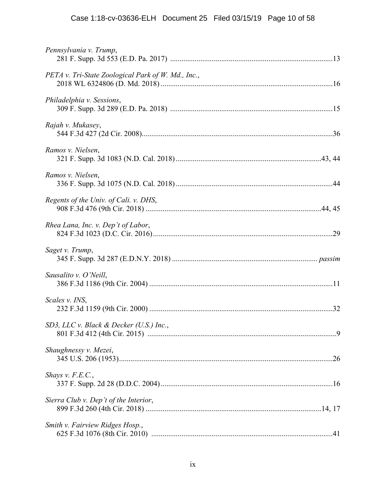| Pennsylvania v. Trump,                             |
|----------------------------------------------------|
| PETA v. Tri-State Zoological Park of W. Md., Inc., |
| Philadelphia v. Sessions,                          |
| Rajah v. Mukasey,                                  |
| Ramos v. Nielsen,                                  |
| Ramos v. Nielsen,                                  |
| Regents of the Univ. of Cali. v. DHS,              |
| Rhea Lana, Inc. v. Dep't of Labor,                 |
| Saget v. Trump,                                    |
| Sausalito v. O'Neill,                              |
| Scales v. INS,                                     |
| SD3, LLC v. Black & Decker (U.S.) Inc.,            |
| Shaughnessy v. Mezei,                              |
| Shays v. $F.E.C.,$                                 |
| Sierra Club v. Dep't of the Interior,              |
| Smith v. Fairview Ridges Hosp.,                    |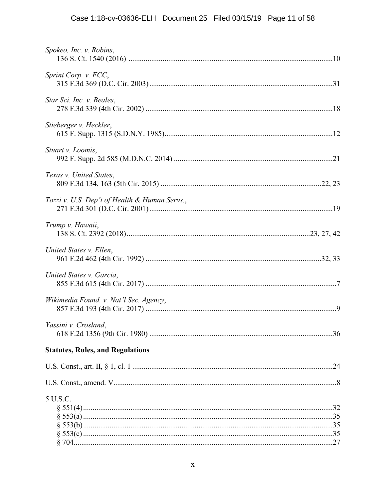| Spokeo, Inc. v. Robins,                       |
|-----------------------------------------------|
| Sprint Corp. v. FCC,                          |
| Star Sci. Inc. v. Beales,                     |
| Stieberger v. Heckler,                        |
| Stuart v. Loomis,                             |
| Texas v. United States,                       |
| Tozzi v. U.S. Dep't of Health & Human Servs., |
| Trump v. Hawaii,                              |
| United States v. Ellen,                       |
| United States v. Garcia,                      |
| Wikimedia Found. v. Nat'l Sec. Agency,        |
| Yassini v. Crosland,                          |
| <b>Statutes, Rules, and Regulations</b>       |
|                                               |
|                                               |
| 5 U.S.C.                                      |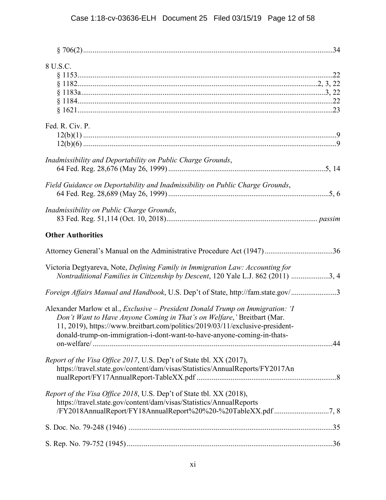| 8 U.S.C.                                                                                                                                                                                                                                                                                                                              |  |
|---------------------------------------------------------------------------------------------------------------------------------------------------------------------------------------------------------------------------------------------------------------------------------------------------------------------------------------|--|
|                                                                                                                                                                                                                                                                                                                                       |  |
|                                                                                                                                                                                                                                                                                                                                       |  |
|                                                                                                                                                                                                                                                                                                                                       |  |
|                                                                                                                                                                                                                                                                                                                                       |  |
| Fed. R. Civ. P.                                                                                                                                                                                                                                                                                                                       |  |
|                                                                                                                                                                                                                                                                                                                                       |  |
|                                                                                                                                                                                                                                                                                                                                       |  |
| Inadmissibility and Deportability on Public Charge Grounds,                                                                                                                                                                                                                                                                           |  |
|                                                                                                                                                                                                                                                                                                                                       |  |
| Field Guidance on Deportability and Inadmissibility on Public Charge Grounds,                                                                                                                                                                                                                                                         |  |
| Inadmissibility on Public Charge Grounds,                                                                                                                                                                                                                                                                                             |  |
| <b>Other Authorities</b>                                                                                                                                                                                                                                                                                                              |  |
| Attorney General's Manual on the Administrative Procedure Act (1947)36                                                                                                                                                                                                                                                                |  |
| Victoria Degtyareva, Note, Defining Family in Immigration Law: Accounting for<br>Nontraditional Families in Citizenship by Descent, 120 Yale L.J. 862 (2011) 3, 4                                                                                                                                                                     |  |
| Foreign Affairs Manual and Handbook, U.S. Dep't of State, http://fam.state.gov/3                                                                                                                                                                                                                                                      |  |
| Alexander Marlow et al., <i>Exclusive – President Donald Trump on Immigration</i> : ' <i>I</i><br>Don't Want to Have Anyone Coming in That's on Welfare,' Breitbart (Mar.<br>11, 2019), https://www.breitbart.com/politics/2019/03/11/exclusive-president-<br>donald-trump-on-immigration-i-dont-want-to-have-anyone-coming-in-thats- |  |
|                                                                                                                                                                                                                                                                                                                                       |  |
| Report of the Visa Office 2017, U.S. Dep't of State tbl. XX (2017),<br>https://travel.state.gov/content/dam/visas/Statistics/AnnualReports/FY2017An                                                                                                                                                                                   |  |
| Report of the Visa Office 2018, U.S. Dep't of State tbl. XX (2018),                                                                                                                                                                                                                                                                   |  |
| https://travel.state.gov/content/dam/visas/Statistics/AnnualReports<br>/FY2018AnnualReport/FY18AnnualReport%20%20-%20TableXX.pdf 7, 8                                                                                                                                                                                                 |  |
|                                                                                                                                                                                                                                                                                                                                       |  |
|                                                                                                                                                                                                                                                                                                                                       |  |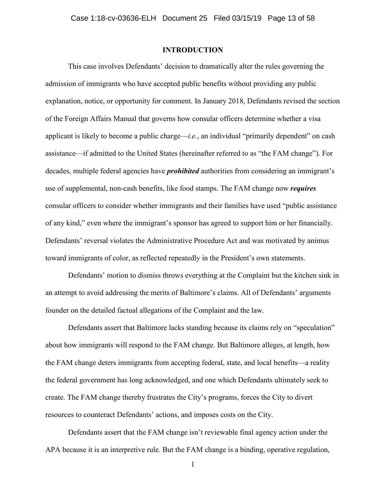### **INTRODUCTION**

This case involves Defendants' decision to dramatically alter the rules governing the admission of immigrants who have accepted public benefits without providing any public explanation, notice, or opportunity for comment. In January 2018, Defendants revised the section of the Foreign Affairs Manual that governs how consular officers determine whether a visa applicant is likely to become a public charge—*i.e.*, an individual "primarily dependent" on cash assistance—if admitted to the United States (hereinafter referred to as "the FAM change"). For decades, multiple federal agencies have *prohibited* authorities from considering an immigrant's use of supplemental, non-cash benefits, like food stamps. The FAM change now *requires*  consular officers to consider whether immigrants and their families have used "public assistance of any kind," even where the immigrant's sponsor has agreed to support him or her financially. Defendants' reversal violates the Administrative Procedure Act and was motivated by animus toward immigrants of color, as reflected repeatedly in the President's own statements.

Defendants' motion to dismiss throws everything at the Complaint but the kitchen sink in an attempt to avoid addressing the merits of Baltimore's claims. All of Defendants' arguments founder on the detailed factual allegations of the Complaint and the law.

Defendants assert that Baltimore lacks standing because its claims rely on "speculation" about how immigrants will respond to the FAM change. But Baltimore alleges, at length, how the FAM change deters immigrants from accepting federal, state, and local benefits—a reality the federal government has long acknowledged, and one which Defendants ultimately seek to create. The FAM change thereby frustrates the City's programs, forces the City to divert resources to counteract Defendants' actions, and imposes costs on the City.

Defendants assert that the FAM change isn't reviewable final agency action under the APA because it is an interpretive rule. But the FAM change is a binding, operative regulation,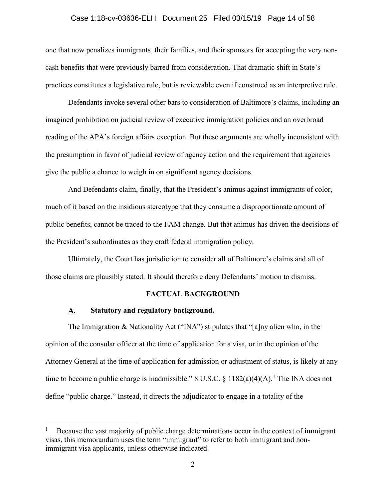### Case 1:18-cv-03636-ELH Document 25 Filed 03/15/19 Page 14 of 58

one that now penalizes immigrants, their families, and their sponsors for accepting the very noncash benefits that were previously barred from consideration. That dramatic shift in State's practices constitutes a legislative rule, but is reviewable even if construed as an interpretive rule.

Defendants invoke several other bars to consideration of Baltimore's claims, including an imagined prohibition on judicial review of executive immigration policies and an overbroad reading of the APA's foreign affairs exception. But these arguments are wholly inconsistent with the presumption in favor of judicial review of agency action and the requirement that agencies give the public a chance to weigh in on significant agency decisions.

And Defendants claim, finally, that the President's animus against immigrants of color, much of it based on the insidious stereotype that they consume a disproportionate amount of public benefits, cannot be traced to the FAM change. But that animus has driven the decisions of the President's subordinates as they craft federal immigration policy.

Ultimately, the Court has jurisdiction to consider all of Baltimore's claims and all of those claims are plausibly stated. It should therefore deny Defendants' motion to dismiss.

### **FACTUAL BACKGROUND**

#### **Statutory and regulatory background.**  $\mathbf{A}$ .

The Immigration & Nationality Act ("INA") stipulates that "[a]ny alien who, in the opinion of the consular officer at the time of application for a visa, or in the opinion of the Attorney General at the time of application for admission or adjustment of status, is likely at any time to become a public charge is inadmissible." 8 U.S.C.  $\S$  1182(a)(4)(A).<sup>1</sup> The INA does not define "public charge." Instead, it directs the adjudicator to engage in a totality of the

Because the vast majority of public charge determinations occur in the context of immigrant visas, this memorandum uses the term "immigrant" to refer to both immigrant and nonimmigrant visa applicants, unless otherwise indicated.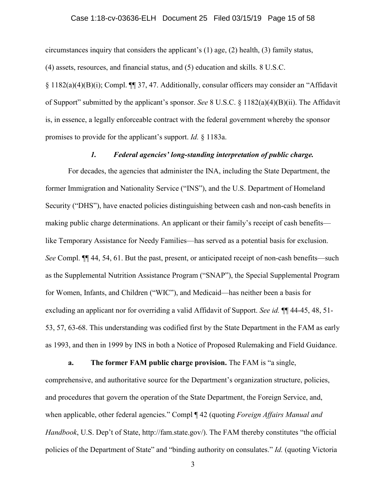### Case 1:18-cv-03636-ELH Document 25 Filed 03/15/19 Page 15 of 58

circumstances inquiry that considers the applicant's (1) age, (2) health, (3) family status,

(4) assets, resources, and financial status, and (5) education and skills. 8 U.S.C.

§ 1182(a)(4)(B)(i); Compl. ¶¶ 37, 47. Additionally, consular officers may consider an "Affidavit of Support" submitted by the applicant's sponsor. *See* 8 U.S.C. § 1182(a)(4)(B)(ii). The Affidavit is, in essence, a legally enforceable contract with the federal government whereby the sponsor promises to provide for the applicant's support. *Id.* § 1183a.

### *1. Federal agencies' long-standing interpretation of public charge.*

For decades, the agencies that administer the INA, including the State Department, the former Immigration and Nationality Service ("INS"), and the U.S. Department of Homeland Security ("DHS"), have enacted policies distinguishing between cash and non-cash benefits in making public charge determinations. An applicant or their family's receipt of cash benefits like Temporary Assistance for Needy Families—has served as a potential basis for exclusion. *See* Compl. ¶¶ 44, 54, 61. But the past, present, or anticipated receipt of non-cash benefits—such as the Supplemental Nutrition Assistance Program ("SNAP"), the Special Supplemental Program for Women, Infants, and Children ("WIC"), and Medicaid—has neither been a basis for excluding an applicant nor for overriding a valid Affidavit of Support. *See id.* ¶¶ 44-45, 48, 51- 53, 57, 63-68. This understanding was codified first by the State Department in the FAM as early as 1993, and then in 1999 by INS in both a Notice of Proposed Rulemaking and Field Guidance.

**a. The former FAM public charge provision.** The FAM is "a single,

comprehensive, and authoritative source for the Department's organization structure, policies, and procedures that govern the operation of the State Department, the Foreign Service, and, when applicable, other federal agencies." Compl ¶ 42 (quoting *Foreign Affairs Manual and Handbook*, U.S. Dep't of State, http://fam.state.gov/). The FAM thereby constitutes "the official policies of the Department of State" and "binding authority on consulates." *Id.* (quoting Victoria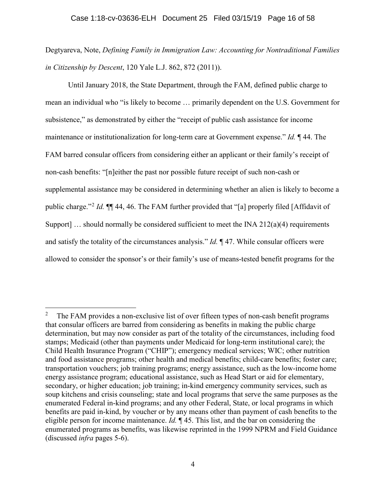Degtyareva, Note, *Defining Family in Immigration Law: Accounting for Nontraditional Families in Citizenship by Descent*, 120 Yale L.J. 862, 872 (2011)).

Until January 2018, the State Department, through the FAM, defined public charge to mean an individual who "is likely to become … primarily dependent on the U.S. Government for subsistence," as demonstrated by either the "receipt of public cash assistance for income maintenance or institutionalization for long-term care at Government expense." *Id.* ¶ 44. The FAM barred consular officers from considering either an applicant or their family's receipt of non-cash benefits: "[n]either the past nor possible future receipt of such non-cash or supplemental assistance may be considered in determining whether an alien is likely to become a public charge."<sup>2</sup> *Id.* ¶¶ 44, 46. The FAM further provided that "[a] properly filed [Affidavit of Support]  $\ldots$  should normally be considered sufficient to meet the INA 212(a)(4) requirements and satisfy the totality of the circumstances analysis." *Id.* ¶ 47. While consular officers were allowed to consider the sponsor's or their family's use of means-tested benefit programs for the

<sup>&</sup>lt;sup>2</sup> The FAM provides a non-exclusive list of over fifteen types of non-cash benefit programs that consular officers are barred from considering as benefits in making the public charge determination, but may now consider as part of the totality of the circumstances, including food stamps; Medicaid (other than payments under Medicaid for long-term institutional care); the Child Health Insurance Program ("CHIP"); emergency medical services; WIC; other nutrition and food assistance programs; other health and medical benefits; child-care benefits; foster care; transportation vouchers; job training programs; energy assistance, such as the low-income home energy assistance program; educational assistance, such as Head Start or aid for elementary, secondary, or higher education; job training; in-kind emergency community services, such as soup kitchens and crisis counseling; state and local programs that serve the same purposes as the enumerated Federal in-kind programs; and any other Federal, State, or local programs in which benefits are paid in-kind, by voucher or by any means other than payment of cash benefits to the eligible person for income maintenance. *Id.* ¶ 45. This list, and the bar on considering the enumerated programs as benefits, was likewise reprinted in the 1999 NPRM and Field Guidance (discussed *infra* pages 5-6).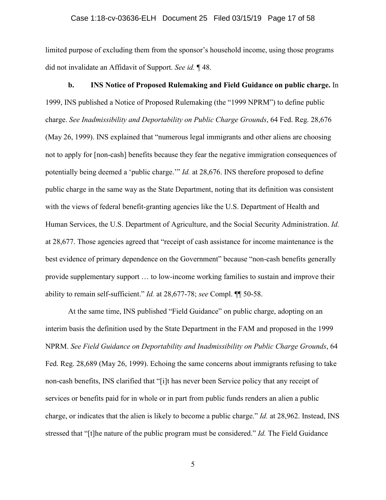limited purpose of excluding them from the sponsor's household income, using those programs did not invalidate an Affidavit of Support. *See id.* ¶ 48.

**b. INS Notice of Proposed Rulemaking and Field Guidance on public charge.** In 1999, INS published a Notice of Proposed Rulemaking (the "1999 NPRM") to define public charge. *See Inadmissibility and Deportability on Public Charge Grounds*, 64 Fed. Reg. 28,676 (May 26, 1999). INS explained that "numerous legal immigrants and other aliens are choosing not to apply for [non-cash] benefits because they fear the negative immigration consequences of potentially being deemed a 'public charge.'" *Id.* at 28,676. INS therefore proposed to define public charge in the same way as the State Department, noting that its definition was consistent with the views of federal benefit-granting agencies like the U.S. Department of Health and Human Services, the U.S. Department of Agriculture, and the Social Security Administration. *Id.* at 28,677. Those agencies agreed that "receipt of cash assistance for income maintenance is the best evidence of primary dependence on the Government" because "non-cash benefits generally provide supplementary support … to low-income working families to sustain and improve their ability to remain self-sufficient." *Id.* at 28,677-78; *see* Compl. ¶¶ 50-58.

At the same time, INS published "Field Guidance" on public charge, adopting on an interim basis the definition used by the State Department in the FAM and proposed in the 1999 NPRM. *See Field Guidance on Deportability and Inadmissibility on Public Charge Grounds*, 64 Fed. Reg. 28,689 (May 26, 1999). Echoing the same concerns about immigrants refusing to take non-cash benefits, INS clarified that "[i]t has never been Service policy that any receipt of services or benefits paid for in whole or in part from public funds renders an alien a public charge, or indicates that the alien is likely to become a public charge." *Id.* at 28,962. Instead, INS stressed that "[t]he nature of the public program must be considered." *Id.* The Field Guidance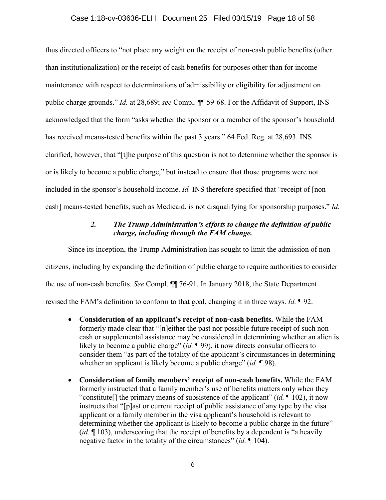### Case 1:18-cv-03636-ELH Document 25 Filed 03/15/19 Page 18 of 58

thus directed officers to "not place any weight on the receipt of non-cash public benefits (other than institutionalization) or the receipt of cash benefits for purposes other than for income maintenance with respect to determinations of admissibility or eligibility for adjustment on public charge grounds." *Id.* at 28,689; *see* Compl. ¶¶ 59-68. For the Affidavit of Support, INS acknowledged that the form "asks whether the sponsor or a member of the sponsor's household has received means-tested benefits within the past 3 years." 64 Fed. Reg. at 28,693. INS clarified, however, that "[t]he purpose of this question is not to determine whether the sponsor is or is likely to become a public charge," but instead to ensure that those programs were not included in the sponsor's household income. *Id.* INS therefore specified that "receipt of [noncash] means-tested benefits, such as Medicaid, is not disqualifying for sponsorship purposes." *Id.*

### *2. The Trump Administration's efforts to change the definition of public charge, including through the FAM change.*

Since its inception, the Trump Administration has sought to limit the admission of noncitizens, including by expanding the definition of public charge to require authorities to consider the use of non-cash benefits. *See* Compl. ¶¶ 76-91. In January 2018, the State Department revised the FAM's definition to conform to that goal, changing it in three ways. *Id.* ¶ 92.

- **Consideration of an applicant's receipt of non-cash benefits.** While the FAM formerly made clear that "[n]either the past nor possible future receipt of such non cash or supplemental assistance may be considered in determining whether an alien is likely to become a public charge" (*id.* ¶ 99), it now directs consular officers to consider them "as part of the totality of the applicant's circumstances in determining whether an applicant is likely become a public charge" (*id.* ¶ 98).
- **Consideration of family members' receipt of non-cash benefits.** While the FAM formerly instructed that a family member's use of benefits matters only when they "constitute[] the primary means of subsistence of the applicant" (*id.* ¶ 102), it now instructs that "[p]ast or current receipt of public assistance of any type by the visa applicant or a family member in the visa applicant's household is relevant to determining whether the applicant is likely to become a public charge in the future" (*id.* ¶ 103), underscoring that the receipt of benefits by a dependent is "a heavily negative factor in the totality of the circumstances" (*id.* ¶ 104).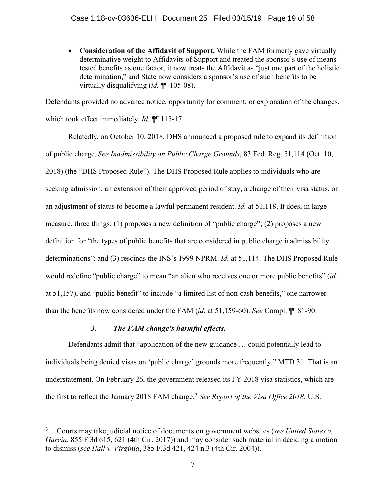• **Consideration of the Affidavit of Support.** While the FAM formerly gave virtually determinative weight to Affidavits of Support and treated the sponsor's use of meanstested benefits as one factor, it now treats the Affidavit as "just one part of the holistic determination," and State now considers a sponsor's use of such benefits to be virtually disqualifying (*id.* ¶¶ 105-08).

Defendants provided no advance notice, opportunity for comment, or explanation of the changes, which took effect immediately. *Id.* ¶¶ 115-17.

Relatedly, on October 10, 2018, DHS announced a proposed rule to expand its definition of public charge. *See Inadmissibility on Public Charge Grounds*, 83 Fed. Reg. 51,114 (Oct. 10, 2018) (the "DHS Proposed Rule"). The DHS Proposed Rule applies to individuals who are seeking admission, an extension of their approved period of stay, a change of their visa status, or an adjustment of status to become a lawful permanent resident. *Id.* at 51,118. It does, in large measure, three things: (1) proposes a new definition of "public charge"; (2) proposes a new definition for "the types of public benefits that are considered in public charge inadmissibility determinations"; and (3) rescinds the INS's 1999 NPRM. *Id.* at 51,114. The DHS Proposed Rule would redefine "public charge" to mean "an alien who receives one or more public benefits" (*id.* at 51,157), and "public benefit" to include "a limited list of non-cash benefits," one narrower than the benefits now considered under the FAM (*id.* at 51,159-60). *See* Compl. ¶¶ 81-90.

# *3. The FAM change's harmful effects.*

Defendants admit that "application of the new guidance … could potentially lead to individuals being denied visas on 'public charge' grounds more frequently." MTD 31. That is an understatement. On February 26, the government released its FY 2018 visa statistics, which are the first to reflect the January 2018 FAM change.<sup>3</sup> *See Report of the Visa Office 2018*, U.S.

 <sup>3</sup> Courts may take judicial notice of documents on government websites (*see United States v. Garcia*, 855 F.3d 615, 621 (4th Cir. 2017)) and may consider such material in deciding a motion to dismiss (*see Hall v. Virginia*, 385 F.3d 421, 424 n.3 (4th Cir. 2004)).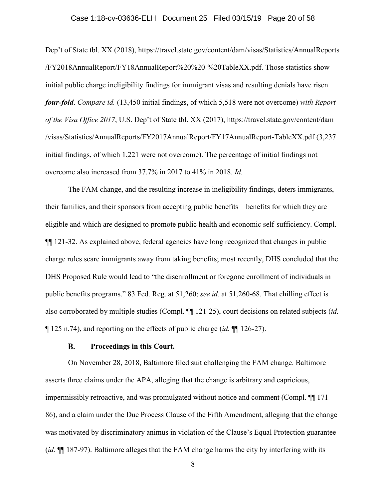### Case 1:18-cv-03636-ELH Document 25 Filed 03/15/19 Page 20 of 58

Dep't of State tbl. XX (2018), https://travel.state.gov/content/dam/visas/Statistics/AnnualReports /FY2018AnnualReport/FY18AnnualReport%20%20-%20TableXX.pdf. Those statistics show initial public charge ineligibility findings for immigrant visas and resulting denials have risen *four-fold*. *Compare id.* (13,450 initial findings, of which 5,518 were not overcome) *with Report of the Visa Office 2017*, U.S. Dep't of State tbl. XX (2017), https://travel.state.gov/content/dam /visas/Statistics/AnnualReports/FY2017AnnualReport/FY17AnnualReport-TableXX.pdf (3,237 initial findings, of which 1,221 were not overcome). The percentage of initial findings not overcome also increased from 37.7% in 2017 to 41% in 2018. *Id.*

The FAM change, and the resulting increase in ineligibility findings, deters immigrants, their families, and their sponsors from accepting public benefits—benefits for which they are eligible and which are designed to promote public health and economic self-sufficiency. Compl. ¶¶ 121-32. As explained above, federal agencies have long recognized that changes in public charge rules scare immigrants away from taking benefits; most recently, DHS concluded that the DHS Proposed Rule would lead to "the disenrollment or foregone enrollment of individuals in public benefits programs." 83 Fed. Reg. at 51,260; *see id.* at 51,260-68. That chilling effect is also corroborated by multiple studies (Compl. ¶¶ 121-25), court decisions on related subjects (*id.* ¶ 125 n.74), and reporting on the effects of public charge (*id.* ¶¶ 126-27).

#### **B. Proceedings in this Court.**

On November 28, 2018, Baltimore filed suit challenging the FAM change. Baltimore asserts three claims under the APA, alleging that the change is arbitrary and capricious, impermissibly retroactive, and was promulgated without notice and comment (Compl. ¶¶ 171- 86), and a claim under the Due Process Clause of the Fifth Amendment, alleging that the change was motivated by discriminatory animus in violation of the Clause's Equal Protection guarantee (*id.* ¶¶ 187-97). Baltimore alleges that the FAM change harms the city by interfering with its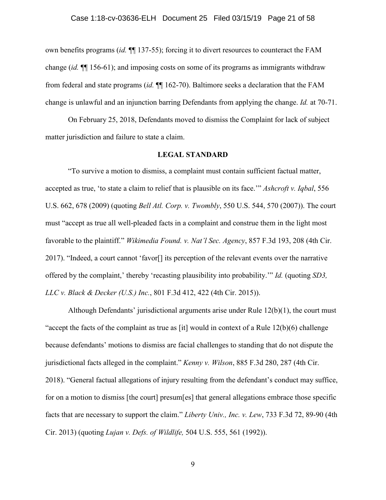own benefits programs (*id.* ¶¶ 137-55); forcing it to divert resources to counteract the FAM change (*id.* ¶¶ 156-61); and imposing costs on some of its programs as immigrants withdraw from federal and state programs (*id.* ¶¶ 162-70). Baltimore seeks a declaration that the FAM change is unlawful and an injunction barring Defendants from applying the change. *Id.* at 70-71.

On February 25, 2018, Defendants moved to dismiss the Complaint for lack of subject matter jurisdiction and failure to state a claim.

### **LEGAL STANDARD**

"To survive a motion to dismiss, a complaint must contain sufficient factual matter, accepted as true, 'to state a claim to relief that is plausible on its face.'" *Ashcroft v. Iqbal*, 556 U.S. 662, 678 (2009) (quoting *Bell Atl. Corp. v. Twombly*, 550 U.S. 544, 570 (2007)). The court must "accept as true all well-pleaded facts in a complaint and construe them in the light most favorable to the plaintiff." *Wikimedia Found. v. Nat'l Sec. Agency*, 857 F.3d 193, 208 (4th Cir. 2017). "Indeed, a court cannot 'favor[] its perception of the relevant events over the narrative offered by the complaint,' thereby 'recasting plausibility into probability.'" *Id.* (quoting *SD3, LLC v. Black & Decker (U.S.) Inc.*, 801 F.3d 412, 422 (4th Cir. 2015)).

Although Defendants' jurisdictional arguments arise under Rule  $12(b)(1)$ , the court must "accept the facts of the complaint as true as [it] would in context of a Rule 12(b)(6) challenge because defendants' motions to dismiss are facial challenges to standing that do not dispute the jurisdictional facts alleged in the complaint." *Kenny v. Wilson*, 885 F.3d 280, 287 (4th Cir. 2018). "General factual allegations of injury resulting from the defendant's conduct may suffice, for on a motion to dismiss [the court] presum[es] that general allegations embrace those specific facts that are necessary to support the claim." *Liberty Univ., Inc. v. Lew*, 733 F.3d 72, 89-90 (4th Cir. 2013) (quoting *Lujan v. Defs. of Wildlife,* 504 U.S. 555, 561 (1992)).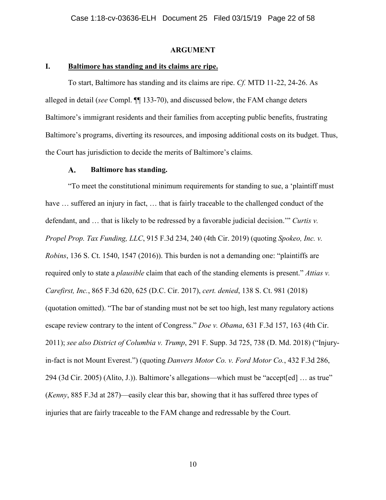### **ARGUMENT**

### **I. Baltimore has standing and its claims are ripe.**

To start, Baltimore has standing and its claims are ripe. *Cf.* MTD 11-22, 24-26. As alleged in detail (*see* Compl. ¶¶ 133-70), and discussed below, the FAM change deters Baltimore's immigrant residents and their families from accepting public benefits, frustrating Baltimore's programs, diverting its resources, and imposing additional costs on its budget. Thus, the Court has jurisdiction to decide the merits of Baltimore's claims.

#### $\mathbf{A}$ . **Baltimore has standing.**

"To meet the constitutional minimum requirements for standing to sue, a 'plaintiff must have ... suffered an injury in fact, ... that is fairly traceable to the challenged conduct of the defendant, and … that is likely to be redressed by a favorable judicial decision.'" *Curtis v. Propel Prop. Tax Funding, LLC*, 915 F.3d 234, 240 (4th Cir. 2019) (quoting *Spokeo, Inc. v. Robins*, 136 S. Ct. 1540, 1547 (2016)). This burden is not a demanding one: "plaintiffs are required only to state a *plausible* claim that each of the standing elements is present." *Attias v. Carefirst, Inc.*, 865 F.3d 620, 625 (D.C. Cir. 2017), *cert. denied*, 138 S. Ct. 981 (2018) (quotation omitted). "The bar of standing must not be set too high, lest many regulatory actions escape review contrary to the intent of Congress." *Doe v. Obama*, 631 F.3d 157, 163 (4th Cir. 2011); *see also District of Columbia v. Trump*, 291 F. Supp. 3d 725, 738 (D. Md. 2018) ("Injuryin-fact is not Mount Everest.") (quoting *Danvers Motor Co. v. Ford Motor Co.*, 432 F.3d 286, 294 (3d Cir. 2005) (Alito, J.)). Baltimore's allegations—which must be "accept[ed] … as true" (*Kenny*, 885 F.3d at 287)—easily clear this bar, showing that it has suffered three types of injuries that are fairly traceable to the FAM change and redressable by the Court.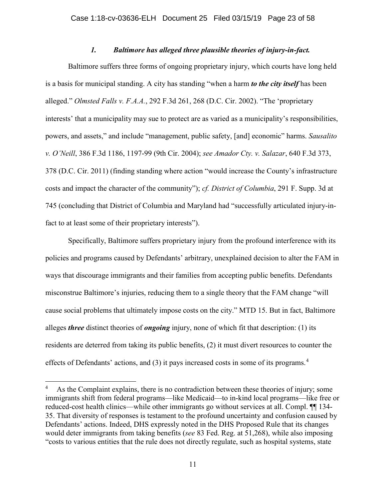### *1. Baltimore has alleged three plausible theories of injury-in-fact.*

Baltimore suffers three forms of ongoing proprietary injury, which courts have long held is a basis for municipal standing. A city has standing "when a harm *to the city itself* has been alleged." *Olmsted Falls v. F.A.A.*, 292 F.3d 261, 268 (D.C. Cir. 2002). "The 'proprietary interests' that a municipality may sue to protect are as varied as a municipality's responsibilities, powers, and assets," and include "management, public safety, [and] economic" harms. *Sausalito v. O'Neill*, 386 F.3d 1186, 1197-99 (9th Cir. 2004); *see Amador Cty. v. Salazar*, 640 F.3d 373, 378 (D.C. Cir. 2011) (finding standing where action "would increase the County's infrastructure costs and impact the character of the community"); *cf. District of Columbia*, 291 F. Supp. 3d at 745 (concluding that District of Columbia and Maryland had "successfully articulated injury-infact to at least some of their proprietary interests").

Specifically, Baltimore suffers proprietary injury from the profound interference with its policies and programs caused by Defendants' arbitrary, unexplained decision to alter the FAM in ways that discourage immigrants and their families from accepting public benefits. Defendants misconstrue Baltimore's injuries, reducing them to a single theory that the FAM change "will cause social problems that ultimately impose costs on the city." MTD 15. But in fact, Baltimore alleges *three* distinct theories of *ongoing* injury, none of which fit that description: (1) its residents are deterred from taking its public benefits, (2) it must divert resources to counter the effects of Defendants' actions, and (3) it pays increased costs in some of its programs. 4

As the Complaint explains, there is no contradiction between these theories of injury; some immigrants shift from federal programs—like Medicaid—to in-kind local programs—like free or reduced-cost health clinics—while other immigrants go without services at all. Compl.  $\P$  134-35. That diversity of responses is testament to the profound uncertainty and confusion caused by Defendants' actions. Indeed, DHS expressly noted in the DHS Proposed Rule that its changes would deter immigrants from taking benefits (*see* 83 Fed. Reg. at 51,268), while also imposing "costs to various entities that the rule does not directly regulate, such as hospital systems, state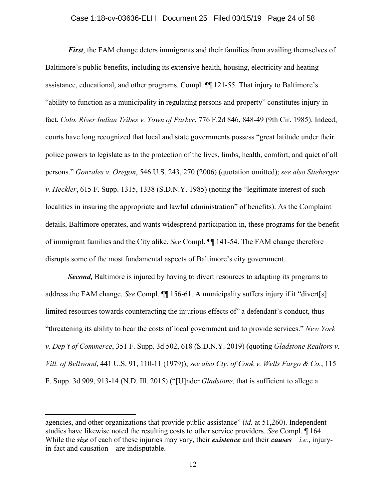### Case 1:18-cv-03636-ELH Document 25 Filed 03/15/19 Page 24 of 58

*First*, the FAM change deters immigrants and their families from availing themselves of Baltimore's public benefits, including its extensive health, housing, electricity and heating assistance, educational, and other programs. Compl. ¶¶ 121-55. That injury to Baltimore's "ability to function as a municipality in regulating persons and property" constitutes injury-infact. *Colo. River Indian Tribes v. Town of Parker*, 776 F.2d 846, 848-49 (9th Cir. 1985). Indeed, courts have long recognized that local and state governments possess "great latitude under their police powers to legislate as to the protection of the lives, limbs, health, comfort, and quiet of all persons." *Gonzales v. Oregon*, 546 U.S. 243, 270 (2006) (quotation omitted); *see also Stieberger v. Heckler*, 615 F. Supp. 1315, 1338 (S.D.N.Y. 1985) (noting the "legitimate interest of such localities in insuring the appropriate and lawful administration" of benefits). As the Complaint details, Baltimore operates, and wants widespread participation in, these programs for the benefit of immigrant families and the City alike. *See* Compl. ¶¶ 141-54. The FAM change therefore disrupts some of the most fundamental aspects of Baltimore's city government.

**Second,** Baltimore is injured by having to divert resources to adapting its programs to address the FAM change. *See* Compl. ¶¶ 156-61. A municipality suffers injury if it "divert[s] limited resources towards counteracting the injurious effects of a defendant's conduct, thus "threatening its ability to bear the costs of local government and to provide services." *New York v. Dep't of Commerce*, 351 F. Supp. 3d 502, 618 (S.D.N.Y. 2019) (quoting *Gladstone Realtors v. Vill. of Bellwood*, 441 U.S. 91, 110-11 (1979)); *see also Cty. of Cook v. Wells Fargo & Co.*, 115 F. Supp. 3d 909, 913-14 (N.D. Ill. 2015) ("[U]nder *Gladstone,* that is sufficient to allege a

 $\overline{a}$ 

agencies, and other organizations that provide public assistance" (*id.* at 51,260). Independent studies have likewise noted the resulting costs to other service providers. *See* Compl. ¶ 164. While the *size* of each of these injuries may vary, their *existence* and their *causes*—*i.e.*, injuryin-fact and causation—are indisputable.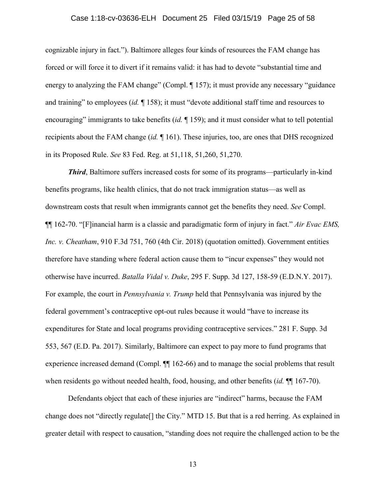### Case 1:18-cv-03636-ELH Document 25 Filed 03/15/19 Page 25 of 58

cognizable injury in fact."). Baltimore alleges four kinds of resources the FAM change has forced or will force it to divert if it remains valid: it has had to devote "substantial time and energy to analyzing the FAM change" (Compl. 157); it must provide any necessary "guidance and training" to employees (*id.* ¶ 158); it must "devote additional staff time and resources to encouraging" immigrants to take benefits (*id.* ¶ 159); and it must consider what to tell potential recipients about the FAM change (*id.* ¶ 161). These injuries, too, are ones that DHS recognized in its Proposed Rule. *See* 83 Fed. Reg. at 51,118, 51,260, 51,270.

*Third*, Baltimore suffers increased costs for some of its programs—particularly in-kind benefits programs, like health clinics, that do not track immigration status—as well as downstream costs that result when immigrants cannot get the benefits they need. *See* Compl. ¶¶ 162-70. "[F]inancial harm is a classic and paradigmatic form of injury in fact." *Air Evac EMS, Inc. v. Cheatham*, 910 F.3d 751, 760 (4th Cir. 2018) (quotation omitted). Government entities therefore have standing where federal action cause them to "incur expenses" they would not otherwise have incurred. *Batalla Vidal v. Duke*, 295 F. Supp. 3d 127, 158-59 (E.D.N.Y. 2017). For example, the court in *Pennsylvania v. Trump* held that Pennsylvania was injured by the federal government's contraceptive opt-out rules because it would "have to increase its expenditures for State and local programs providing contraceptive services." 281 F. Supp. 3d 553, 567 (E.D. Pa. 2017). Similarly, Baltimore can expect to pay more to fund programs that experience increased demand (Compl.  $\P$  162-66) and to manage the social problems that result when residents go without needed health, food, housing, and other benefits *(id.* ¶ 167-70).

Defendants object that each of these injuries are "indirect" harms, because the FAM change does not "directly regulate[] the City." MTD 15. But that is a red herring. As explained in greater detail with respect to causation, "standing does not require the challenged action to be the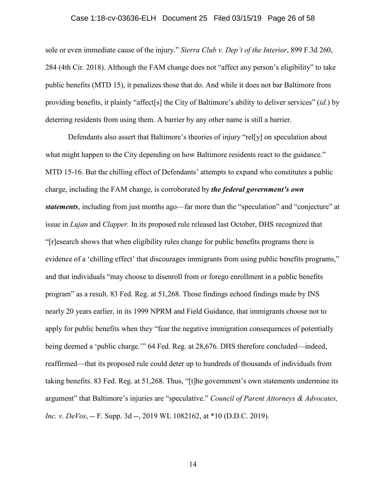### Case 1:18-cv-03636-ELH Document 25 Filed 03/15/19 Page 26 of 58

sole or even immediate cause of the injury." *Sierra Club v. Dep't of the Interior*, 899 F.3d 260, 284 (4th Cir. 2018). Although the FAM change does not "affect any person's eligibility" to take public benefits (MTD 15), it penalizes those that do. And while it does not bar Baltimore from providing benefits, it plainly "affect[s] the City of Baltimore's ability to deliver services" (*id.*) by deterring residents from using them. A barrier by any other name is still a barrier.

Defendants also assert that Baltimore's theories of injury "rel[y] on speculation about what might happen to the City depending on how Baltimore residents react to the guidance." MTD 15-16. But the chilling effect of Defendants' attempts to expand who constitutes a public charge, including the FAM change, is corroborated by *the federal government's own statements*, including from just months ago—far more than the "speculation" and "conjecture" at issue in *Lujan* and *Clapper.* In its proposed rule released last October, DHS recognized that "[r]esearch shows that when eligibility rules change for public benefits programs there is evidence of a 'chilling effect' that discourages immigrants from using public benefits programs," and that individuals "may choose to disenroll from or forego enrollment in a public benefits program" as a result. 83 Fed. Reg. at 51,268. Those findings echoed findings made by INS nearly 20 years earlier, in its 1999 NPRM and Field Guidance, that immigrants choose not to apply for public benefits when they "fear the negative immigration consequences of potentially being deemed a 'public charge.'" 64 Fed. Reg. at 28,676. DHS therefore concluded—indeed, reaffirmed—that its proposed rule could deter up to hundreds of thousands of individuals from taking benefits. 83 Fed. Reg. at 51,268. Thus, "[t]he government's own statements undermine its argument" that Baltimore's injuries are "speculative." *Council of Parent Attorneys & Advocates, Inc. v. DeVos*, -- F. Supp. 3d --, 2019 WL 1082162, at \*10 (D.D.C. 2019).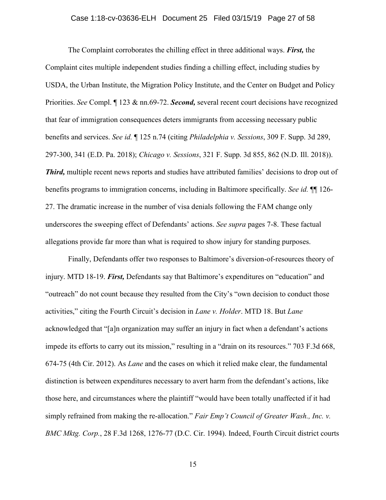### Case 1:18-cv-03636-ELH Document 25 Filed 03/15/19 Page 27 of 58

The Complaint corroborates the chilling effect in three additional ways. *First,* the Complaint cites multiple independent studies finding a chilling effect, including studies by USDA, the Urban Institute, the Migration Policy Institute, and the Center on Budget and Policy Priorities. *See* Compl. ¶ 123 & nn.69-72. *Second,* several recent court decisions have recognized that fear of immigration consequences deters immigrants from accessing necessary public benefits and services. *See id.* ¶ 125 n.74 (citing *Philadelphia v. Sessions*, 309 F. Supp. 3d 289, 297-300, 341 (E.D. Pa. 2018); *Chicago v. Sessions*, 321 F. Supp. 3d 855, 862 (N.D. Ill. 2018)). *Third,* multiple recent news reports and studies have attributed families' decisions to drop out of benefits programs to immigration concerns, including in Baltimore specifically. *See id.* ¶¶ 126- 27. The dramatic increase in the number of visa denials following the FAM change only underscores the sweeping effect of Defendants' actions. *See supra* pages 7-8. These factual allegations provide far more than what is required to show injury for standing purposes.

Finally, Defendants offer two responses to Baltimore's diversion-of-resources theory of injury. MTD 18-19. *First,* Defendants say that Baltimore's expenditures on "education" and "outreach" do not count because they resulted from the City's "own decision to conduct those activities," citing the Fourth Circuit's decision in *Lane v. Holder*. MTD 18. But *Lane* acknowledged that "[a]n organization may suffer an injury in fact when a defendant's actions impede its efforts to carry out its mission," resulting in a "drain on its resources." 703 F.3d 668, 674-75 (4th Cir. 2012). As *Lane* and the cases on which it relied make clear, the fundamental distinction is between expenditures necessary to avert harm from the defendant's actions, like those here, and circumstances where the plaintiff "would have been totally unaffected if it had simply refrained from making the re-allocation." *Fair Emp't Council of Greater Wash., Inc. v. BMC Mktg. Corp.*, 28 F.3d 1268, 1276-77 (D.C. Cir. 1994). Indeed, Fourth Circuit district courts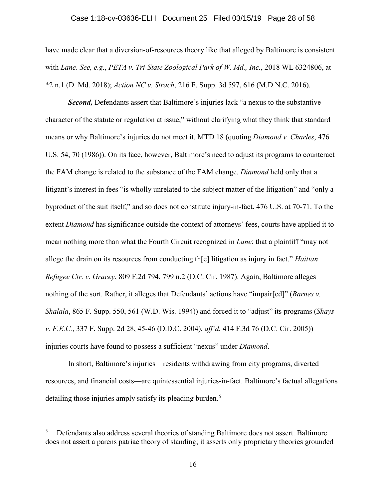### Case 1:18-cv-03636-ELH Document 25 Filed 03/15/19 Page 28 of 58

have made clear that a diversion-of-resources theory like that alleged by Baltimore is consistent with *Lane*. *See, e.g.*, *PETA v. Tri-State Zoological Park of W. Md., Inc.*, 2018 WL 6324806, at \*2 n.1 (D. Md. 2018); *Action NC v. Strach*, 216 F. Supp. 3d 597, 616 (M.D.N.C. 2016).

*Second,* Defendants assert that Baltimore's injuries lack "a nexus to the substantive character of the statute or regulation at issue," without clarifying what they think that standard means or why Baltimore's injuries do not meet it. MTD 18 (quoting *Diamond v. Charles*, 476 U.S. 54, 70 (1986)). On its face, however, Baltimore's need to adjust its programs to counteract the FAM change is related to the substance of the FAM change. *Diamond* held only that a litigant's interest in fees "is wholly unrelated to the subject matter of the litigation" and "only a byproduct of the suit itself," and so does not constitute injury-in-fact. 476 U.S. at 70-71. To the extent *Diamond* has significance outside the context of attorneys' fees, courts have applied it to mean nothing more than what the Fourth Circuit recognized in *Lane*: that a plaintiff "may not allege the drain on its resources from conducting th[e] litigation as injury in fact." *Haitian Refugee Ctr. v. Gracey*, 809 F.2d 794, 799 n.2 (D.C. Cir. 1987). Again, Baltimore alleges nothing of the sort. Rather, it alleges that Defendants' actions have "impair[ed]" (*Barnes v. Shalala*, 865 F. Supp. 550, 561 (W.D. Wis. 1994)) and forced it to "adjust" its programs (*Shays v. F.E.C.*, 337 F. Supp. 2d 28, 45-46 (D.D.C. 2004), *aff'd*, 414 F.3d 76 (D.C. Cir. 2005)) injuries courts have found to possess a sufficient "nexus" under *Diamond*.

In short, Baltimore's injuries—residents withdrawing from city programs, diverted resources, and financial costs—are quintessential injuries-in-fact. Baltimore's factual allegations detailing those injuries amply satisfy its pleading burden.<sup>5</sup>

 <sup>5</sup> Defendants also address several theories of standing Baltimore does not assert. Baltimore does not assert a parens patriae theory of standing; it asserts only proprietary theories grounded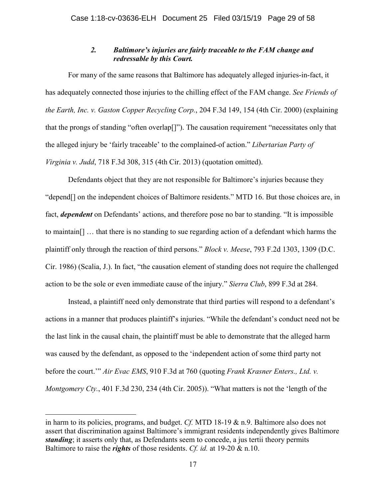### *2. Baltimore's injuries are fairly traceable to the FAM change and redressable by this Court.*

For many of the same reasons that Baltimore has adequately alleged injuries-in-fact, it has adequately connected those injuries to the chilling effect of the FAM change. *See Friends of the Earth, Inc. v. Gaston Copper Recycling Corp.*, 204 F.3d 149, 154 (4th Cir. 2000) (explaining that the prongs of standing "often overlap[]"). The causation requirement "necessitates only that the alleged injury be 'fairly traceable' to the complained-of action." *Libertarian Party of Virginia v. Judd*, 718 F.3d 308, 315 (4th Cir. 2013) (quotation omitted).

Defendants object that they are not responsible for Baltimore's injuries because they "depend[] on the independent choices of Baltimore residents." MTD 16. But those choices are, in fact, *dependent* on Defendants' actions, and therefore pose no bar to standing. "It is impossible to maintain[] … that there is no standing to sue regarding action of a defendant which harms the plaintiff only through the reaction of third persons." *Block v. Meese*, 793 F.2d 1303, 1309 (D.C. Cir. 1986) (Scalia, J.). In fact, "the causation element of standing does not require the challenged action to be the sole or even immediate cause of the injury." *Sierra Club*, 899 F.3d at 284.

Instead, a plaintiff need only demonstrate that third parties will respond to a defendant's actions in a manner that produces plaintiff's injuries. "While the defendant's conduct need not be the last link in the causal chain, the plaintiff must be able to demonstrate that the alleged harm was caused by the defendant, as opposed to the 'independent action of some third party not before the court.'" *Air Evac EMS*, 910 F.3d at 760 (quoting *Frank Krasner Enters., Ltd. v. Montgomery Cty.*, 401 F.3d 230, 234 (4th Cir. 2005)). "What matters is not the 'length of the

 $\overline{a}$ 

in harm to its policies, programs, and budget. *Cf.* MTD 18-19 & n.9. Baltimore also does not assert that discrimination against Baltimore's immigrant residents independently gives Baltimore *standing*; it asserts only that, as Defendants seem to concede, a jus tertii theory permits Baltimore to raise the *rights* of those residents. *Cf. id.* at 19-20 & n.10.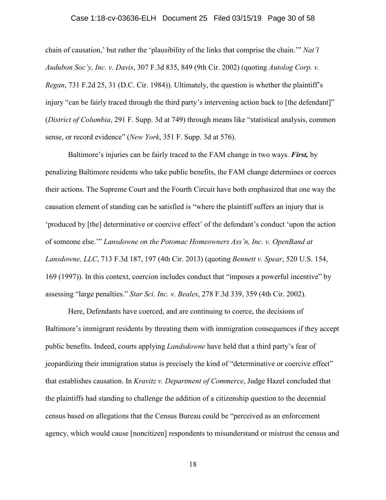### Case 1:18-cv-03636-ELH Document 25 Filed 03/15/19 Page 30 of 58

chain of causation,' but rather the 'plausibility of the links that comprise the chain.'" *Nat'l Audubon Soc'y, Inc. v. Davis*, 307 F.3d 835, 849 (9th Cir. 2002) (quoting *Autolog Corp. v. Regan*, 731 F.2d 25, 31 (D.C. Cir. 1984)). Ultimately, the question is whether the plaintiff's injury "can be fairly traced through the third party's intervening action back to [the defendant]" (*District of Columbia*, 291 F. Supp. 3d at 749) through means like "statistical analysis, common sense, or record evidence" (*New York*, 351 F. Supp. 3d at 576).

Baltimore's injuries can be fairly traced to the FAM change in two ways. *First,* by penalizing Baltimore residents who take public benefits, the FAM change determines or coerces their actions. The Supreme Court and the Fourth Circuit have both emphasized that one way the causation element of standing can be satisfied is "where the plaintiff suffers an injury that is 'produced by [the] determinative or coercive effect' of the defendant's conduct 'upon the action of someone else.'" *Lansdowne on the Potomac Homeowners Ass'n, Inc. v. OpenBand at Lansdowne, LLC*, 713 F.3d 187, 197 (4th Cir. 2013) (quoting *Bennett v. Spear*, 520 U.S. 154, 169 (1997)). In this context, coercion includes conduct that "imposes a powerful incentive" by assessing "large penalties." *Star Sci. Inc. v. Beales*, 278 F.3d 339, 359 (4th Cir. 2002).

Here, Defendants have coerced, and are continuing to coerce, the decisions of Baltimore's immigrant residents by threating them with immigration consequences if they accept public benefits. Indeed, courts applying *Landsdowne* have held that a third party's fear of jeopardizing their immigration status is precisely the kind of "determinative or coercive effect" that establishes causation. In *Kravitz v. Department of Commerce*, Judge Hazel concluded that the plaintiffs had standing to challenge the addition of a citizenship question to the decennial census based on allegations that the Census Bureau could be "perceived as an enforcement agency, which would cause [noncitizen] respondents to misunderstand or mistrust the census and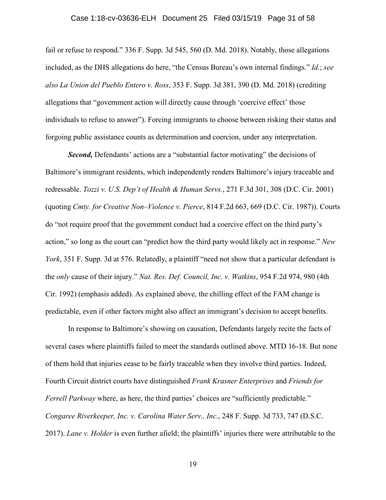### Case 1:18-cv-03636-ELH Document 25 Filed 03/15/19 Page 31 of 58

fail or refuse to respond." 336 F. Supp. 3d 545, 560 (D. Md. 2018). Notably, those allegations included, as the DHS allegations do here, "the Census Bureau's own internal findings." *Id.*; *see also La Union del Pueblo Entero v. Ross*, 353 F. Supp. 3d 381, 390 (D. Md. 2018) (crediting allegations that "government action will directly cause through 'coercive effect' those individuals to refuse to answer"). Forcing immigrants to choose between risking their status and forgoing public assistance counts as determination and coercion, under any interpretation.

*Second,* Defendants' actions are a "substantial factor motivating" the decisions of Baltimore's immigrant residents, which independently renders Baltimore's injury traceable and redressable. *Tozzi v. U.S. Dep't of Health & Human Servs.*, 271 F.3d 301, 308 (D.C. Cir. 2001) (quoting *Cmty. for Creative Non–Violence v. Pierce*, 814 F.2d 663, 669 (D.C. Cir. 1987)). Courts do "not require proof that the government conduct had a coercive effect on the third party's action," so long as the court can "predict how the third party would likely act in response." *New York*, 351 F. Supp. 3d at 576. Relatedly, a plaintiff "need not show that a particular defendant is the *only* cause of their injury." *Nat. Res. Def. Council, Inc. v. Watkins*, 954 F.2d 974, 980 (4th Cir. 1992) (emphasis added). As explained above, the chilling effect of the FAM change is predictable, even if other factors might also affect an immigrant's decision to accept benefits.

In response to Baltimore's showing on causation, Defendants largely recite the facts of several cases where plaintiffs failed to meet the standards outlined above. MTD 16-18. But none of them hold that injuries cease to be fairly traceable when they involve third parties. Indeed, Fourth Circuit district courts have distinguished *Frank Krasner Enterprises* and *Friends for Ferrell Parkway* where, as here, the third parties' choices are "sufficiently predictable." *Congaree Riverkeeper, Inc. v. Carolina Water Serv., Inc.*, 248 F. Supp. 3d 733, 747 (D.S.C. 2017). *Lane v. Holder* is even further afield; the plaintiffs' injuries there were attributable to the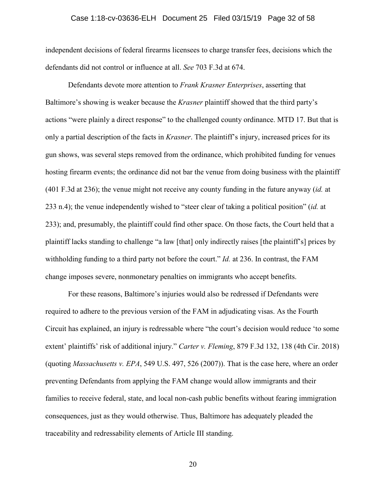### Case 1:18-cv-03636-ELH Document 25 Filed 03/15/19 Page 32 of 58

independent decisions of federal firearms licensees to charge transfer fees, decisions which the defendants did not control or influence at all. *See* 703 F.3d at 674.

Defendants devote more attention to *Frank Krasner Enterprises*, asserting that Baltimore's showing is weaker because the *Krasner* plaintiff showed that the third party's actions "were plainly a direct response" to the challenged county ordinance. MTD 17. But that is only a partial description of the facts in *Krasner*. The plaintiff's injury, increased prices for its gun shows, was several steps removed from the ordinance, which prohibited funding for venues hosting firearm events; the ordinance did not bar the venue from doing business with the plaintiff (401 F.3d at 236); the venue might not receive any county funding in the future anyway (*id.* at 233 n.4); the venue independently wished to "steer clear of taking a political position" (*id.* at 233); and, presumably, the plaintiff could find other space. On those facts, the Court held that a plaintiff lacks standing to challenge "a law [that] only indirectly raises [the plaintiff's] prices by withholding funding to a third party not before the court." *Id.* at 236. In contrast, the FAM change imposes severe, nonmonetary penalties on immigrants who accept benefits.

For these reasons, Baltimore's injuries would also be redressed if Defendants were required to adhere to the previous version of the FAM in adjudicating visas. As the Fourth Circuit has explained, an injury is redressable where "the court's decision would reduce 'to some extent' plaintiffs' risk of additional injury." *Carter v. Fleming*, 879 F.3d 132, 138 (4th Cir. 2018) (quoting *Massachusetts v. EPA*, 549 U.S. 497, 526 (2007)). That is the case here, where an order preventing Defendants from applying the FAM change would allow immigrants and their families to receive federal, state, and local non-cash public benefits without fearing immigration consequences, just as they would otherwise. Thus, Baltimore has adequately pleaded the traceability and redressability elements of Article III standing.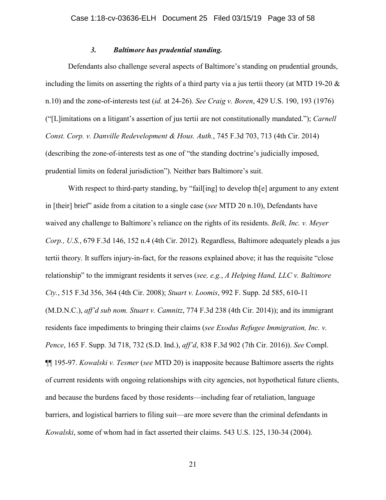### *3. Baltimore has prudential standing.*

Defendants also challenge several aspects of Baltimore's standing on prudential grounds, including the limits on asserting the rights of a third party via a jus tertii theory (at MTD 19-20  $\&$ n.10) and the zone-of-interests test (*id.* at 24-26). *See Craig v. Boren*, 429 U.S. 190, 193 (1976) ("[L]imitations on a litigant's assertion of jus tertii are not constitutionally mandated."); *Carnell Const. Corp. v. Danville Redevelopment & Hous. Auth.*, 745 F.3d 703, 713 (4th Cir. 2014) (describing the zone-of-interests test as one of "the standing doctrine's judicially imposed, prudential limits on federal jurisdiction"). Neither bars Baltimore's suit.

With respect to third-party standing, by "fail [ing] to develop th[e] argument to any extent in [their] brief" aside from a citation to a single case (*see* MTD 20 n.10), Defendants have waived any challenge to Baltimore's reliance on the rights of its residents. *Belk, Inc. v. Meyer Corp., U.S.*, 679 F.3d 146, 152 n.4 (4th Cir. 2012). Regardless, Baltimore adequately pleads a jus tertii theory. It suffers injury-in-fact, for the reasons explained above; it has the requisite "close relationship" to the immigrant residents it serves (*see, e.g.*, *A Helping Hand, LLC v. Baltimore Cty.*, 515 F.3d 356, 364 (4th Cir. 2008); *Stuart v. Loomis*, 992 F. Supp. 2d 585, 610-11 (M.D.N.C.), *aff'd sub nom. Stuart v. Camnitz*, 774 F.3d 238 (4th Cir. 2014)); and its immigrant residents face impediments to bringing their claims (*see Exodus Refugee Immigration, Inc. v. Pence*, 165 F. Supp. 3d 718, 732 (S.D. Ind.), *aff'd*, 838 F.3d 902 (7th Cir. 2016)). *See* Compl. ¶¶ 195-97. *Kowalski v. Tesmer* (*see* MTD 20) is inapposite because Baltimore asserts the rights of current residents with ongoing relationships with city agencies, not hypothetical future clients, and because the burdens faced by those residents—including fear of retaliation, language barriers, and logistical barriers to filing suit—are more severe than the criminal defendants in *Kowalski*, some of whom had in fact asserted their claims. 543 U.S. 125, 130-34 (2004).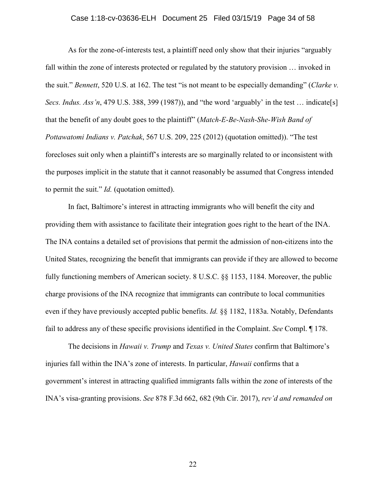### Case 1:18-cv-03636-ELH Document 25 Filed 03/15/19 Page 34 of 58

As for the zone-of-interests test, a plaintiff need only show that their injuries "arguably fall within the zone of interests protected or regulated by the statutory provision … invoked in the suit." *Bennett*, 520 U.S. at 162. The test "is not meant to be especially demanding" (*Clarke v. Secs. Indus. Ass'n*, 479 U.S. 388, 399 (1987)), and "the word 'arguably' in the test ... indicate[s] that the benefit of any doubt goes to the plaintiff" (*Match-E-Be-Nash-She-Wish Band of Pottawatomi Indians v. Patchak*, 567 U.S. 209, 225 (2012) (quotation omitted)). "The test forecloses suit only when a plaintiff's interests are so marginally related to or inconsistent with the purposes implicit in the statute that it cannot reasonably be assumed that Congress intended to permit the suit." *Id.* (quotation omitted).

In fact, Baltimore's interest in attracting immigrants who will benefit the city and providing them with assistance to facilitate their integration goes right to the heart of the INA. The INA contains a detailed set of provisions that permit the admission of non-citizens into the United States, recognizing the benefit that immigrants can provide if they are allowed to become fully functioning members of American society. 8 U.S.C. §§ 1153, 1184. Moreover, the public charge provisions of the INA recognize that immigrants can contribute to local communities even if they have previously accepted public benefits. *Id.* §§ 1182, 1183a. Notably, Defendants fail to address any of these specific provisions identified in the Complaint. *See* Compl. ¶ 178.

The decisions in *Hawaii v. Trump* and *Texas v. United States* confirm that Baltimore's injuries fall within the INA's zone of interests. In particular, *Hawaii* confirms that a government's interest in attracting qualified immigrants falls within the zone of interests of the INA's visa-granting provisions. *See* 878 F.3d 662, 682 (9th Cir. 2017), *rev'd and remanded on*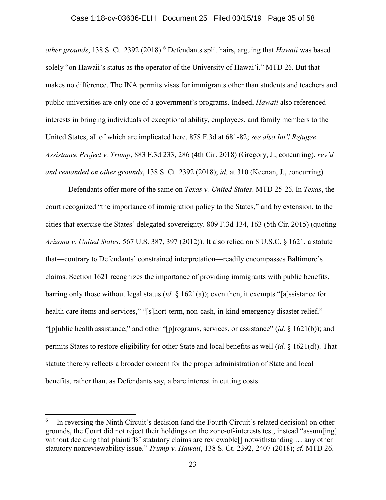*other grounds*, 138 S. Ct. 2392 (2018). <sup>6</sup> Defendants split hairs, arguing that *Hawaii* was based solely "on Hawaii's status as the operator of the University of Hawai'i." MTD 26. But that makes no difference. The INA permits visas for immigrants other than students and teachers and public universities are only one of a government's programs. Indeed, *Hawaii* also referenced interests in bringing individuals of exceptional ability, employees, and family members to the United States, all of which are implicated here. 878 F.3d at 681-82; *see also Int'l Refugee Assistance Project v. Trump*, 883 F.3d 233, 286 (4th Cir. 2018) (Gregory, J., concurring), *rev'd and remanded on other grounds*, 138 S. Ct. 2392 (2018); *id.* at 310 (Keenan, J., concurring)

Defendants offer more of the same on *Texas v. United States*. MTD 25-26. In *Texas*, the court recognized "the importance of immigration policy to the States," and by extension, to the cities that exercise the States' delegated sovereignty. 809 F.3d 134, 163 (5th Cir. 2015) (quoting *Arizona v. United States*, 567 U.S. 387, 397 (2012)). It also relied on 8 U.S.C. § 1621, a statute that—contrary to Defendants' constrained interpretation—readily encompasses Baltimore's claims. Section 1621 recognizes the importance of providing immigrants with public benefits, barring only those without legal status (*id.* § 1621(a)); even then, it exempts "[a]ssistance for health care items and services," "[s]hort-term, non-cash, in-kind emergency disaster relief," "[p]ublic health assistance," and other "[p]rograms, services, or assistance" (*id.* § 1621(b)); and permits States to restore eligibility for other State and local benefits as well (*id.* § 1621(d)). That statute thereby reflects a broader concern for the proper administration of State and local benefits, rather than, as Defendants say, a bare interest in cutting costs.

In reversing the Ninth Circuit's decision (and the Fourth Circuit's related decision) on other grounds, the Court did not reject their holdings on the zone-of-interests test, instead "assum[ing] without deciding that plaintiffs' statutory claims are reviewable[] notwithstanding … any other statutory nonreviewability issue." *Trump v. Hawaii*, 138 S. Ct. 2392, 2407 (2018); *cf.* MTD 26.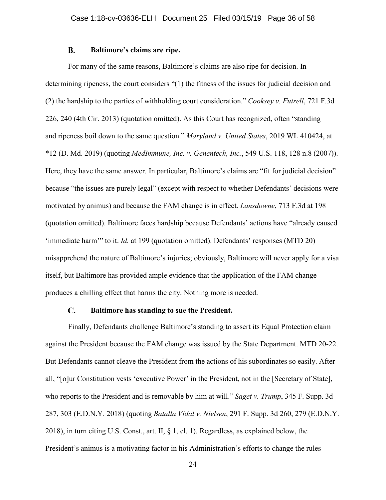#### $\mathbf{R}$ . **Baltimore's claims are ripe.**

For many of the same reasons, Baltimore's claims are also ripe for decision. In determining ripeness, the court considers "(1) the fitness of the issues for judicial decision and (2) the hardship to the parties of withholding court consideration." *Cooksey v. Futrell*, 721 F.3d 226, 240 (4th Cir. 2013) (quotation omitted). As this Court has recognized, often "standing and ripeness boil down to the same question." *Maryland v. United States*, 2019 WL 410424, at \*12 (D. Md. 2019) (quoting *MedImmune, Inc. v. Genentech, Inc.*, 549 U.S. 118, 128 n.8 (2007)). Here, they have the same answer. In particular, Baltimore's claims are "fit for judicial decision" because "the issues are purely legal" (except with respect to whether Defendants' decisions were motivated by animus) and because the FAM change is in effect. *Lansdowne*, 713 F.3d at 198 (quotation omitted). Baltimore faces hardship because Defendants' actions have "already caused 'immediate harm'" to it. *Id.* at 199 (quotation omitted). Defendants' responses (MTD 20) misapprehend the nature of Baltimore's injuries; obviously, Baltimore will never apply for a visa itself, but Baltimore has provided ample evidence that the application of the FAM change produces a chilling effect that harms the city. Nothing more is needed.

#### $\mathbf{C}$ . **Baltimore has standing to sue the President.**

Finally, Defendants challenge Baltimore's standing to assert its Equal Protection claim against the President because the FAM change was issued by the State Department. MTD 20-22. But Defendants cannot cleave the President from the actions of his subordinates so easily. After all, "[o]ur Constitution vests 'executive Power' in the President, not in the [Secretary of State], who reports to the President and is removable by him at will." *Saget v. Trump*, 345 F. Supp. 3d 287, 303 (E.D.N.Y. 2018) (quoting *Batalla Vidal v. Nielsen*, 291 F. Supp. 3d 260, 279 (E.D.N.Y. 2018), in turn citing U.S. Const., art. II, § 1, cl. 1). Regardless, as explained below, the President's animus is a motivating factor in his Administration's efforts to change the rules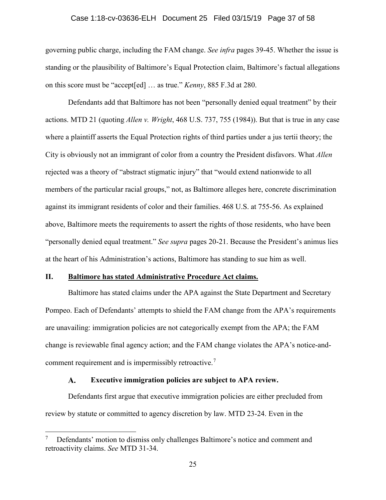### Case 1:18-cv-03636-ELH Document 25 Filed 03/15/19 Page 37 of 58

governing public charge, including the FAM change. *See infra* pages 39-45. Whether the issue is standing or the plausibility of Baltimore's Equal Protection claim, Baltimore's factual allegations on this score must be "accept[ed] … as true." *Kenny*, 885 F.3d at 280.

Defendants add that Baltimore has not been "personally denied equal treatment" by their actions. MTD 21 (quoting *Allen v. Wright*, 468 U.S. 737, 755 (1984)). But that is true in any case where a plaintiff asserts the Equal Protection rights of third parties under a jus tertii theory; the City is obviously not an immigrant of color from a country the President disfavors. What *Allen* rejected was a theory of "abstract stigmatic injury" that "would extend nationwide to all members of the particular racial groups," not, as Baltimore alleges here, concrete discrimination against its immigrant residents of color and their families. 468 U.S. at 755-56. As explained above, Baltimore meets the requirements to assert the rights of those residents, who have been "personally denied equal treatment." *See supra* pages 20-21. Because the President's animus lies at the heart of his Administration's actions, Baltimore has standing to sue him as well.

### **II. Baltimore has stated Administrative Procedure Act claims.**

Baltimore has stated claims under the APA against the State Department and Secretary Pompeo. Each of Defendants' attempts to shield the FAM change from the APA's requirements are unavailing: immigration policies are not categorically exempt from the APA; the FAM change is reviewable final agency action; and the FAM change violates the APA's notice-andcomment requirement and is impermissibly retroactive.<sup>7</sup>

#### $\mathbf{A}$ . **Executive immigration policies are subject to APA review.**

Defendants first argue that executive immigration policies are either precluded from review by statute or committed to agency discretion by law. MTD 23-24. Even in the

 <sup>7</sup> Defendants' motion to dismiss only challenges Baltimore's notice and comment and retroactivity claims. *See* MTD 31-34.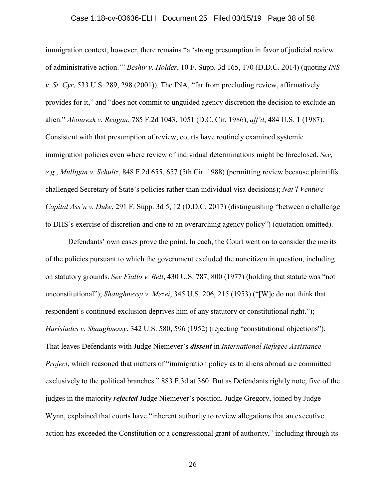### Case 1:18-cv-03636-ELH Document 25 Filed 03/15/19 Page 38 of 58

immigration context, however, there remains "a 'strong presumption in favor of judicial review of administrative action.'" *Beshir v. Holder*, 10 F. Supp. 3d 165, 170 (D.D.C. 2014) (quoting *INS v. St. Cyr*, 533 U.S. 289, 298 (2001)). The INA, "far from precluding review, affirmatively provides for it," and "does not commit to unguided agency discretion the decision to exclude an alien." *Abourezk v. Reagan*, 785 F.2d 1043, 1051 (D.C. Cir. 1986), *aff'd*, 484 U.S. 1 (1987). Consistent with that presumption of review, courts have routinely examined systemic immigration policies even where review of individual determinations might be foreclosed. *See, e.g.*, *Mulligan v. Schultz*, 848 F.2d 655, 657 (5th Cir. 1988) (permitting review because plaintiffs challenged Secretary of State's policies rather than individual visa decisions); *Nat'l Venture Capital Ass'n v. Duke*, 291 F. Supp. 3d 5, 12 (D.D.C. 2017) (distinguishing "between a challenge to DHS's exercise of discretion and one to an overarching agency policy") (quotation omitted).

Defendants' own cases prove the point. In each, the Court went on to consider the merits of the policies pursuant to which the government excluded the noncitizen in question, including on statutory grounds. *See Fiallo v. Bell*, 430 U.S. 787, 800 (1977) (holding that statute was "not unconstitutional"); *Shaughnessy v. Mezei*, 345 U.S. 206, 215 (1953) ("[W]e do not think that respondent's continued exclusion deprives him of any statutory or constitutional right."); *Harisiades v. Shaughnessy*, 342 U.S. 580, 596 (1952) (rejecting "constitutional objections"). That leaves Defendants with Judge Niemeyer's *dissent* in *International Refugee Assistance Project*, which reasoned that matters of "immigration policy as to aliens abroad are committed exclusively to the political branches." 883 F.3d at 360. But as Defendants rightly note, five of the judges in the majority *rejected* Judge Niemeyer's position. Judge Gregory, joined by Judge Wynn, explained that courts have "inherent authority to review allegations that an executive action has exceeded the Constitution or a congressional grant of authority," including through its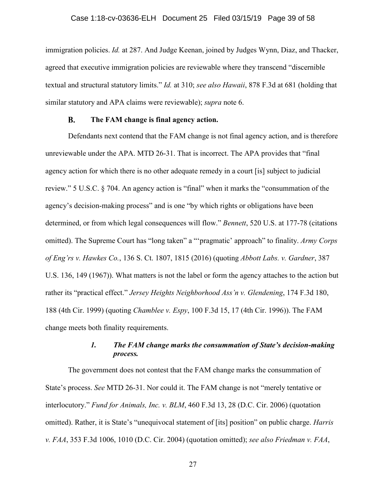immigration policies. *Id.* at 287. And Judge Keenan, joined by Judges Wynn, Diaz, and Thacker, agreed that executive immigration policies are reviewable where they transcend "discernible textual and structural statutory limits." *Id.* at 310; *see also Hawaii*, 878 F.3d at 681 (holding that similar statutory and APA claims were reviewable); *supra* note 6.

#### **B. The FAM change is final agency action.**

Defendants next contend that the FAM change is not final agency action, and is therefore unreviewable under the APA. MTD 26-31. That is incorrect. The APA provides that "final agency action for which there is no other adequate remedy in a court [is] subject to judicial review." 5 U.S.C. § 704. An agency action is "final" when it marks the "consummation of the agency's decision-making process" and is one "by which rights or obligations have been determined, or from which legal consequences will flow." *Bennett*, 520 U.S. at 177-78 (citations omitted). The Supreme Court has "long taken" a "'pragmatic' approach" to finality. *Army Corps of Eng'rs v. Hawkes Co.*, 136 S. Ct. 1807, 1815 (2016) (quoting *Abbott Labs. v. Gardner*, 387 U.S. 136, 149 (1967)). What matters is not the label or form the agency attaches to the action but rather its "practical effect." *Jersey Heights Neighborhood Ass'n v. Glendening*, 174 F.3d 180, 188 (4th Cir. 1999) (quoting *Chamblee v. Espy*, 100 F.3d 15, 17 (4th Cir. 1996)). The FAM change meets both finality requirements.

# *1. The FAM change marks the consummation of State's decision-making process.*

The government does not contest that the FAM change marks the consummation of State's process. *See* MTD 26-31. Nor could it. The FAM change is not "merely tentative or interlocutory." *Fund for Animals, Inc. v. BLM*, 460 F.3d 13, 28 (D.C. Cir. 2006) (quotation omitted). Rather, it is State's "unequivocal statement of [its] position" on public charge. *Harris v. FAA*, 353 F.3d 1006, 1010 (D.C. Cir. 2004) (quotation omitted); *see also Friedman v. FAA*,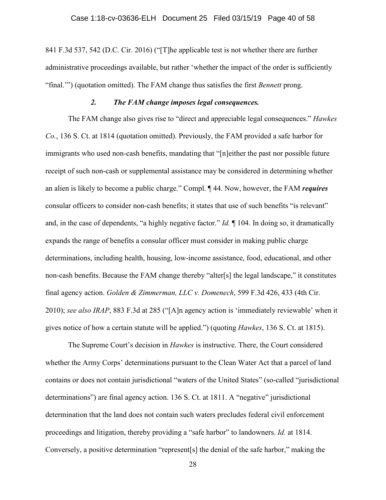841 F.3d 537, 542 (D.C. Cir. 2016) ("[T]he applicable test is not whether there are further administrative proceedings available, but rather 'whether the impact of the order is sufficiently "final.'") (quotation omitted). The FAM change thus satisfies the first *Bennett* prong.

### *2. The FAM change imposes legal consequences.*

The FAM change also gives rise to "direct and appreciable legal consequences." *Hawkes Co.*, 136 S. Ct. at 1814 (quotation omitted). Previously, the FAM provided a safe harbor for immigrants who used non-cash benefits, mandating that "[n]either the past nor possible future receipt of such non-cash or supplemental assistance may be considered in determining whether an alien is likely to become a public charge." Compl. ¶ 44. Now, however, the FAM *requires* consular officers to consider non-cash benefits; it states that use of such benefits "is relevant" and, in the case of dependents, "a highly negative factor." *Id.* ¶ 104. In doing so, it dramatically expands the range of benefits a consular officer must consider in making public charge determinations, including health, housing, low-income assistance, food, educational, and other non-cash benefits. Because the FAM change thereby "alter[s] the legal landscape," it constitutes final agency action. *Golden & Zimmerman, LLC v. Domenech*, 599 F.3d 426, 433 (4th Cir. 2010); *see also IRAP*, 883 F.3d at 285 ("[A]n agency action is 'immediately reviewable' when it gives notice of how a certain statute will be applied.") (quoting *Hawkes*, 136 S. Ct. at 1815).

The Supreme Court's decision in *Hawkes* is instructive. There, the Court considered whether the Army Corps' determinations pursuant to the Clean Water Act that a parcel of land contains or does not contain jurisdictional "waters of the United States" (so-called "jurisdictional determinations") are final agency action. 136 S. Ct. at 1811. A "negative" jurisdictional determination that the land does not contain such waters precludes federal civil enforcement proceedings and litigation, thereby providing a "safe harbor" to landowners. *Id.* at 1814. Conversely, a positive determination "represent[s] the denial of the safe harbor," making the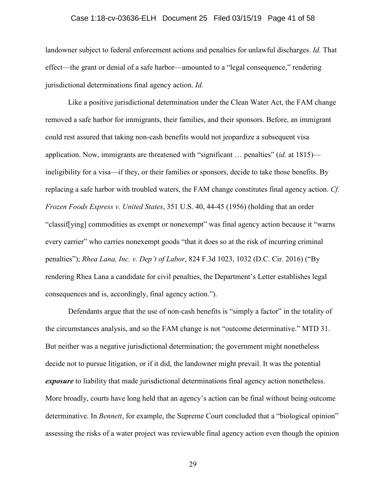### Case 1:18-cv-03636-ELH Document 25 Filed 03/15/19 Page 41 of 58

landowner subject to federal enforcement actions and penalties for unlawful discharges. *Id.* That effect—the grant or denial of a safe harbor—amounted to a "legal consequence," rendering jurisdictional determinations final agency action. *Id.*

Like a positive jurisdictional determination under the Clean Water Act, the FAM change removed a safe harbor for immigrants, their families, and their sponsors. Before, an immigrant could rest assured that taking non-cash benefits would not jeopardize a subsequent visa application. Now, immigrants are threatened with "significant … penalties" (*id.* at 1815) ineligibility for a visa—if they, or their families or sponsors, decide to take those benefits. By replacing a safe harbor with troubled waters, the FAM change constitutes final agency action. *Cf. Frozen Foods Express v. United States*, 351 U.S. 40, 44-45 (1956) (holding that an order "classif[ying] commodities as exempt or nonexempt" was final agency action because it "warns every carrier" who carries nonexempt goods "that it does so at the risk of incurring criminal penalties"); *Rhea Lana, Inc. v. Dep't of Labor*, 824 F.3d 1023, 1032 (D.C. Cir. 2016) ("By rendering Rhea Lana a candidate for civil penalties, the Department's Letter establishes legal consequences and is, accordingly, final agency action.").

Defendants argue that the use of non-cash benefits is "simply a factor" in the totality of the circumstances analysis, and so the FAM change is not "outcome determinative." MTD 31. But neither was a negative jurisdictional determination; the government might nonetheless decide not to pursue litigation, or if it did, the landowner might prevail. It was the potential *exposure* to liability that made jurisdictional determinations final agency action nonetheless. More broadly, courts have long held that an agency's action can be final without being outcome determinative. In *Bennett*, for example, the Supreme Court concluded that a "biological opinion" assessing the risks of a water project was reviewable final agency action even though the opinion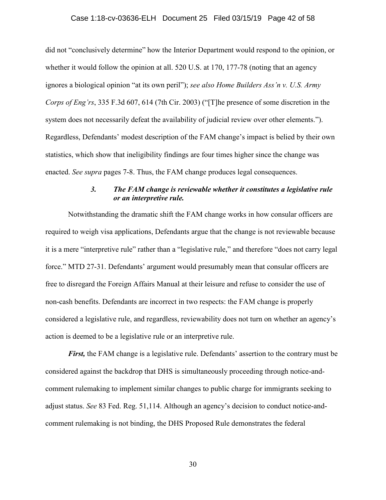### Case 1:18-cv-03636-ELH Document 25 Filed 03/15/19 Page 42 of 58

did not "conclusively determine" how the Interior Department would respond to the opinion, or whether it would follow the opinion at all. 520 U.S. at 170, 177-78 (noting that an agency ignores a biological opinion "at its own peril"); *see also Home Builders Ass'n v. U.S. Army Corps of Eng'rs*, 335 F.3d 607, 614 (7th Cir. 2003) ("[T]he presence of some discretion in the system does not necessarily defeat the availability of judicial review over other elements."). Regardless, Defendants' modest description of the FAM change's impact is belied by their own statistics, which show that ineligibility findings are four times higher since the change was enacted. *See supra* pages 7-8. Thus, the FAM change produces legal consequences.

## *3. The FAM change is reviewable whether it constitutes a legislative rule or an interpretive rule.*

Notwithstanding the dramatic shift the FAM change works in how consular officers are required to weigh visa applications, Defendants argue that the change is not reviewable because it is a mere "interpretive rule" rather than a "legislative rule," and therefore "does not carry legal force." MTD 27-31. Defendants' argument would presumably mean that consular officers are free to disregard the Foreign Affairs Manual at their leisure and refuse to consider the use of non-cash benefits. Defendants are incorrect in two respects: the FAM change is properly considered a legislative rule, and regardless, reviewability does not turn on whether an agency's action is deemed to be a legislative rule or an interpretive rule.

*First,* the FAM change is a legislative rule. Defendants' assertion to the contrary must be considered against the backdrop that DHS is simultaneously proceeding through notice-andcomment rulemaking to implement similar changes to public charge for immigrants seeking to adjust status. *See* 83 Fed. Reg. 51,114. Although an agency's decision to conduct notice-andcomment rulemaking is not binding, the DHS Proposed Rule demonstrates the federal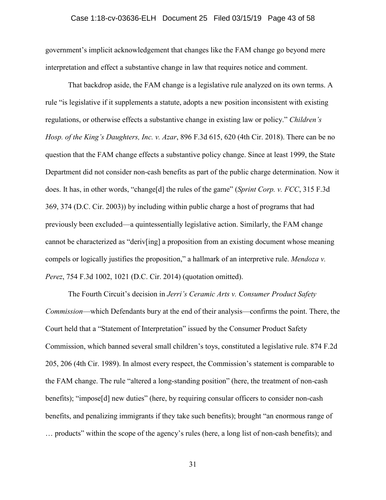### Case 1:18-cv-03636-ELH Document 25 Filed 03/15/19 Page 43 of 58

government's implicit acknowledgement that changes like the FAM change go beyond mere interpretation and effect a substantive change in law that requires notice and comment.

That backdrop aside, the FAM change is a legislative rule analyzed on its own terms. A rule "is legislative if it supplements a statute, adopts a new position inconsistent with existing regulations, or otherwise effects a substantive change in existing law or policy." *Children's Hosp. of the King's Daughters, Inc. v. Azar*, 896 F.3d 615, 620 (4th Cir. 2018). There can be no question that the FAM change effects a substantive policy change. Since at least 1999, the State Department did not consider non-cash benefits as part of the public charge determination. Now it does. It has, in other words, "change[d] the rules of the game" (*Sprint Corp. v. FCC*, 315 F.3d 369, 374 (D.C. Cir. 2003)) by including within public charge a host of programs that had previously been excluded—a quintessentially legislative action. Similarly, the FAM change cannot be characterized as "deriv[ing] a proposition from an existing document whose meaning compels or logically justifies the proposition," a hallmark of an interpretive rule. *Mendoza v. Perez*, 754 F.3d 1002, 1021 (D.C. Cir. 2014) (quotation omitted).

The Fourth Circuit's decision in *Jerri's Ceramic Arts v. Consumer Product Safety Commission*—which Defendants bury at the end of their analysis—confirms the point. There, the Court held that a "Statement of Interpretation" issued by the Consumer Product Safety Commission, which banned several small children's toys, constituted a legislative rule. 874 F.2d 205, 206 (4th Cir. 1989). In almost every respect, the Commission's statement is comparable to the FAM change. The rule "altered a long-standing position" (here, the treatment of non-cash benefits); "impose[d] new duties" (here, by requiring consular officers to consider non-cash benefits, and penalizing immigrants if they take such benefits); brought "an enormous range of … products" within the scope of the agency's rules (here, a long list of non-cash benefits); and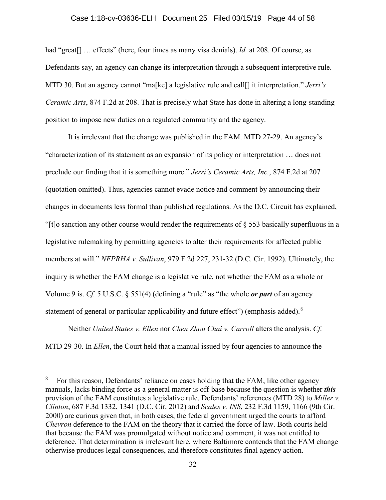### Case 1:18-cv-03636-ELH Document 25 Filed 03/15/19 Page 44 of 58

had "great<sup>[]</sup> ... effects" (here, four times as many visa denials). *Id.* at 208. Of course, as Defendants say, an agency can change its interpretation through a subsequent interpretive rule. MTD 30. But an agency cannot "ma[ke] a legislative rule and call[] it interpretation." *Jerri's Ceramic Arts*, 874 F.2d at 208. That is precisely what State has done in altering a long-standing position to impose new duties on a regulated community and the agency.

It is irrelevant that the change was published in the FAM. MTD 27-29. An agency's "characterization of its statement as an expansion of its policy or interpretation … does not preclude our finding that it is something more." *Jerri's Ceramic Arts, Inc.*, 874 F.2d at 207 (quotation omitted). Thus, agencies cannot evade notice and comment by announcing their changes in documents less formal than published regulations. As the D.C. Circuit has explained, "[t]o sanction any other course would render the requirements of  $\S$  553 basically superfluous in a legislative rulemaking by permitting agencies to alter their requirements for affected public members at will." *NFPRHA v. Sullivan*, 979 F.2d 227, 231-32 (D.C. Cir. 1992). Ultimately, the inquiry is whether the FAM change is a legislative rule, not whether the FAM as a whole or Volume 9 is. *Cf.* 5 U.S.C. § 551(4) (defining a "rule" as "the whole *or part* of an agency statement of general or particular applicability and future effect") (emphasis added).<sup>8</sup>

Neither *United States v. Ellen* nor *Chen Zhou Chai v. Carroll* alters the analysis. *Cf.* MTD 29-30. In *Ellen*, the Court held that a manual issued by four agencies to announce the

For this reason, Defendants' reliance on cases holding that the FAM, like other agency manuals, lacks binding force as a general matter is off-base because the question is whether *this* provision of the FAM constitutes a legislative rule. Defendants' references (MTD 28) to *Miller v. Clinton*, 687 F.3d 1332, 1341 (D.C. Cir. 2012) and *Scales v. INS*, 232 F.3d 1159, 1166 (9th Cir. 2000) are curious given that, in both cases, the federal government urged the courts to afford *Chevron* deference to the FAM on the theory that it carried the force of law. Both courts held that because the FAM was promulgated without notice and comment, it was not entitled to deference. That determination is irrelevant here, where Baltimore contends that the FAM change otherwise produces legal consequences, and therefore constitutes final agency action.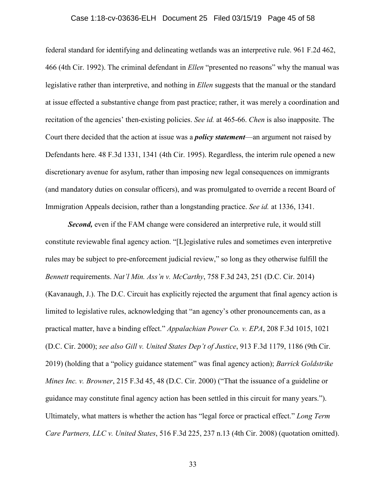### Case 1:18-cv-03636-ELH Document 25 Filed 03/15/19 Page 45 of 58

federal standard for identifying and delineating wetlands was an interpretive rule. 961 F.2d 462, 466 (4th Cir. 1992). The criminal defendant in *Ellen* "presented no reasons" why the manual was legislative rather than interpretive, and nothing in *Ellen* suggests that the manual or the standard at issue effected a substantive change from past practice; rather, it was merely a coordination and recitation of the agencies' then-existing policies. *See id.* at 465-66. *Chen* is also inapposite. The Court there decided that the action at issue was a *policy statement*—an argument not raised by Defendants here. 48 F.3d 1331, 1341 (4th Cir. 1995). Regardless, the interim rule opened a new discretionary avenue for asylum, rather than imposing new legal consequences on immigrants (and mandatory duties on consular officers), and was promulgated to override a recent Board of Immigration Appeals decision, rather than a longstanding practice. *See id.* at 1336, 1341.

*Second,* even if the FAM change were considered an interpretive rule, it would still constitute reviewable final agency action. "[L]egislative rules and sometimes even interpretive rules may be subject to pre-enforcement judicial review," so long as they otherwise fulfill the *Bennett* requirements. *Nat'l Min. Ass'n v. McCarthy*, 758 F.3d 243, 251 (D.C. Cir. 2014) (Kavanaugh, J.). The D.C. Circuit has explicitly rejected the argument that final agency action is limited to legislative rules, acknowledging that "an agency's other pronouncements can, as a practical matter, have a binding effect." *Appalachian Power Co. v. EPA*, 208 F.3d 1015, 1021 (D.C. Cir. 2000); *see also Gill v. United States Dep't of Justice*, 913 F.3d 1179, 1186 (9th Cir. 2019) (holding that a "policy guidance statement" was final agency action); *Barrick Goldstrike Mines Inc. v. Browner*, 215 F.3d 45, 48 (D.C. Cir. 2000) ("That the issuance of a guideline or guidance may constitute final agency action has been settled in this circuit for many years."). Ultimately, what matters is whether the action has "legal force or practical effect." *Long Term Care Partners, LLC v. United States*, 516 F.3d 225, 237 n.13 (4th Cir. 2008) (quotation omitted).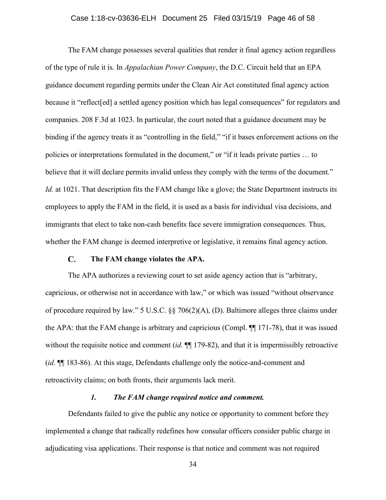### Case 1:18-cv-03636-ELH Document 25 Filed 03/15/19 Page 46 of 58

The FAM change possesses several qualities that render it final agency action regardless of the type of rule it is. In *Appalachian Power Company*, the D.C. Circuit held that an EPA guidance document regarding permits under the Clean Air Act constituted final agency action because it "reflect [ed] a settled agency position which has legal consequences" for regulators and companies. 208 F.3d at 1023. In particular, the court noted that a guidance document may be binding if the agency treats it as "controlling in the field," "if it bases enforcement actions on the policies or interpretations formulated in the document," or "if it leads private parties … to believe that it will declare permits invalid unless they comply with the terms of the document." *Id.* at 1021. That description fits the FAM change like a glove; the State Department instructs its employees to apply the FAM in the field, it is used as a basis for individual visa decisions, and immigrants that elect to take non-cash benefits face severe immigration consequences. Thus, whether the FAM change is deemed interpretive or legislative, it remains final agency action.

#### $\mathbf{C}$ . **The FAM change violates the APA.**

The APA authorizes a reviewing court to set aside agency action that is "arbitrary, capricious, or otherwise not in accordance with law," or which was issued "without observance of procedure required by law." 5 U.S.C. §§ 706(2)(A), (D). Baltimore alleges three claims under the APA: that the FAM change is arbitrary and capricious (Compl. ¶¶ 171-78), that it was issued without the requisite notice and comment *(id.*  $\P$  179-82), and that it is impermissibly retroactive (*id.* ¶¶ 183-86). At this stage, Defendants challenge only the notice-and-comment and retroactivity claims; on both fronts, their arguments lack merit.

### *1. The FAM change required notice and comment.*

Defendants failed to give the public any notice or opportunity to comment before they implemented a change that radically redefines how consular officers consider public charge in adjudicating visa applications. Their response is that notice and comment was not required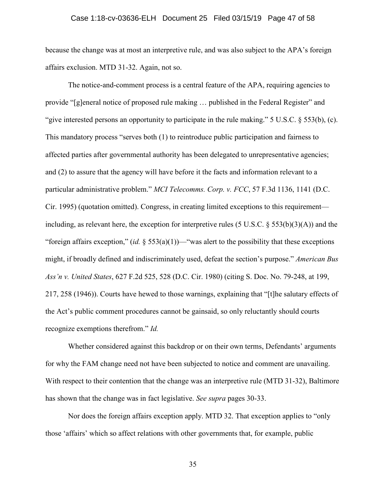### Case 1:18-cv-03636-ELH Document 25 Filed 03/15/19 Page 47 of 58

because the change was at most an interpretive rule, and was also subject to the APA's foreign affairs exclusion. MTD 31-32. Again, not so.

The notice-and-comment process is a central feature of the APA, requiring agencies to provide "[g]eneral notice of proposed rule making … published in the Federal Register" and "give interested persons an opportunity to participate in the rule making." 5 U.S.C. § 553(b), (c). This mandatory process "serves both (1) to reintroduce public participation and fairness to affected parties after governmental authority has been delegated to unrepresentative agencies; and (2) to assure that the agency will have before it the facts and information relevant to a particular administrative problem." *MCI Telecomms. Corp. v. FCC*, 57 F.3d 1136, 1141 (D.C. Cir. 1995) (quotation omitted). Congress, in creating limited exceptions to this requirement including, as relevant here, the exception for interpretive rules (5 U.S.C.  $\S 553(b)(3)(A)$ ) and the "foreign affairs exception,"  $(id. \S 553(a)(1))$ —"was alert to the possibility that these exceptions" might, if broadly defined and indiscriminately used, defeat the section's purpose." *American Bus Ass'n v. United States*, 627 F.2d 525, 528 (D.C. Cir. 1980) (citing S. Doc. No. 79-248, at 199, 217, 258 (1946)). Courts have hewed to those warnings, explaining that "[t]he salutary effects of the Act's public comment procedures cannot be gainsaid, so only reluctantly should courts recognize exemptions therefrom." *Id.*

Whether considered against this backdrop or on their own terms, Defendants' arguments for why the FAM change need not have been subjected to notice and comment are unavailing. With respect to their contention that the change was an interpretive rule (MTD 31-32), Baltimore has shown that the change was in fact legislative. *See supra* pages 30-33.

Nor does the foreign affairs exception apply. MTD 32. That exception applies to "only those 'affairs' which so affect relations with other governments that, for example, public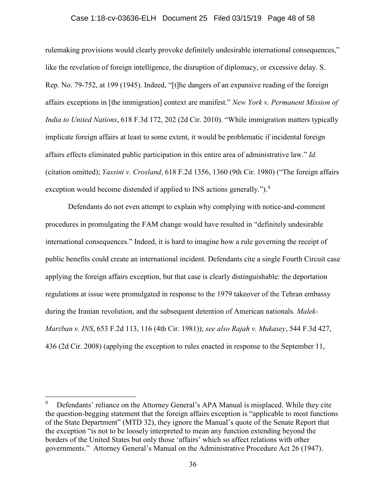### Case 1:18-cv-03636-ELH Document 25 Filed 03/15/19 Page 48 of 58

rulemaking provisions would clearly provoke definitely undesirable international consequences," like the revelation of foreign intelligence, the disruption of diplomacy, or excessive delay. S. Rep. No. 79-752, at 199 (1945). Indeed, "[t]he dangers of an expansive reading of the foreign affairs exceptions in [the immigration] context are manifest." *New York v. Permanent Mission of India to United Nations*, 618 F.3d 172, 202 (2d Cir. 2010). "While immigration matters typically implicate foreign affairs at least to some extent, it would be problematic if incidental foreign affairs effects eliminated public participation in this entire area of administrative law." *Id.* (citation omitted); *Yassini v. Crosland*, 618 F.2d 1356, 1360 (9th Cir. 1980) ("The foreign affairs exception would become distended if applied to INS actions generally.").<sup>9</sup>

Defendants do not even attempt to explain why complying with notice-and-comment procedures in promulgating the FAM change would have resulted in "definitely undesirable international consequences." Indeed, it is hard to imagine how a rule governing the receipt of public benefits could create an international incident. Defendants cite a single Fourth Circuit case applying the foreign affairs exception, but that case is clearly distinguishable: the deportation regulations at issue were promulgated in response to the 1979 takeover of the Tehran embassy during the Iranian revolution, and the subsequent detention of American nationals. *Malek-Marzban v. INS*, 653 F.2d 113, 116 (4th Cir. 1981)); *see also Rajah v. Mukasey*, 544 F.3d 427, 436 (2d Cir. 2008) (applying the exception to rules enacted in response to the September 11,

Defendants' reliance on the Attorney General's APA Manual is misplaced. While they cite the question-begging statement that the foreign affairs exception is "applicable to most functions of the State Department" (MTD 32), they ignore the Manual's quote of the Senate Report that the exception "is not to be loosely interpreted to mean any function extending beyond the borders of the United States but only those 'affairs' which so affect relations with other governments." Attorney General's Manual on the Administrative Procedure Act 26 (1947).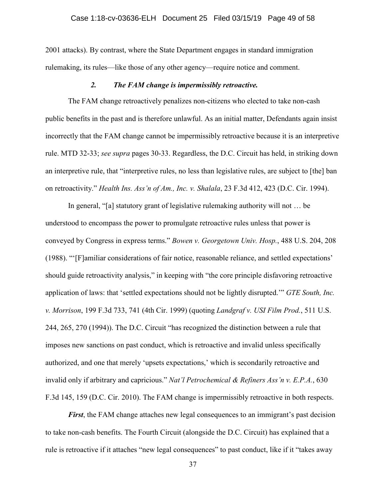2001 attacks). By contrast, where the State Department engages in standard immigration rulemaking, its rules—like those of any other agency—require notice and comment.

### *2. The FAM change is impermissibly retroactive.*

The FAM change retroactively penalizes non-citizens who elected to take non-cash public benefits in the past and is therefore unlawful. As an initial matter, Defendants again insist incorrectly that the FAM change cannot be impermissibly retroactive because it is an interpretive rule. MTD 32-33; *see supra* pages 30-33. Regardless, the D.C. Circuit has held, in striking down an interpretive rule, that "interpretive rules, no less than legislative rules, are subject to [the] ban on retroactivity." *Health Ins. Ass'n of Am., Inc. v. Shalala*, 23 F.3d 412, 423 (D.C. Cir. 1994).

In general, "[a] statutory grant of legislative rulemaking authority will not … be understood to encompass the power to promulgate retroactive rules unless that power is conveyed by Congress in express terms." *Bowen v. Georgetown Univ. Hosp.*, 488 U.S. 204, 208 (1988). "'[F]amiliar considerations of fair notice, reasonable reliance, and settled expectations' should guide retroactivity analysis," in keeping with "the core principle disfavoring retroactive application of laws: that 'settled expectations should not be lightly disrupted.'" *GTE South, Inc. v. Morrison*, 199 F.3d 733, 741 (4th Cir. 1999) (quoting *Landgraf v. USI Film Prod.*, 511 U.S. 244, 265, 270 (1994)). The D.C. Circuit "has recognized the distinction between a rule that imposes new sanctions on past conduct, which is retroactive and invalid unless specifically authorized, and one that merely 'upsets expectations,' which is secondarily retroactive and invalid only if arbitrary and capricious." *Nat'l Petrochemical & Refiners Ass'n v. E.P.A.*, 630 F.3d 145, 159 (D.C. Cir. 2010). The FAM change is impermissibly retroactive in both respects.

*First*, the FAM change attaches new legal consequences to an immigrant's past decision to take non-cash benefits. The Fourth Circuit (alongside the D.C. Circuit) has explained that a rule is retroactive if it attaches "new legal consequences" to past conduct, like if it "takes away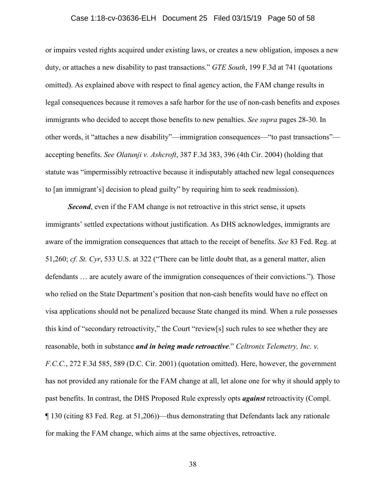### Case 1:18-cv-03636-ELH Document 25 Filed 03/15/19 Page 50 of 58

or impairs vested rights acquired under existing laws, or creates a new obligation, imposes a new duty, or attaches a new disability to past transactions." *GTE South*, 199 F.3d at 741 (quotations omitted). As explained above with respect to final agency action, the FAM change results in legal consequences because it removes a safe harbor for the use of non-cash benefits and exposes immigrants who decided to accept those benefits to new penalties. *See supra* pages 28-30. In other words, it "attaches a new disability"—immigration consequences—"to past transactions" accepting benefits. *See Olatunji v. Ashcroft*, 387 F.3d 383, 396 (4th Cir. 2004) (holding that statute was "impermissibly retroactive because it indisputably attached new legal consequences to [an immigrant's] decision to plead guilty" by requiring him to seek readmission).

**Second**, even if the FAM change is not retroactive in this strict sense, it upsets immigrants' settled expectations without justification. As DHS acknowledges, immigrants are aware of the immigration consequences that attach to the receipt of benefits. *See* 83 Fed. Reg. at 51,260; *cf. St. Cyr*, 533 U.S. at 322 ("There can be little doubt that, as a general matter, alien defendants … are acutely aware of the immigration consequences of their convictions."). Those who relied on the State Department's position that non-cash benefits would have no effect on visa applications should not be penalized because State changed its mind. When a rule possesses this kind of "secondary retroactivity," the Court "review[s] such rules to see whether they are reasonable, both in substance *and in being made retroactive*." *Celtronix Telemetry, Inc. v. F.C.C.*, 272 F.3d 585, 589 (D.C. Cir. 2001) (quotation omitted). Here, however, the government has not provided any rationale for the FAM change at all, let alone one for why it should apply to past benefits. In contrast, the DHS Proposed Rule expressly opts *against* retroactivity (Compl. ¶ 130 (citing 83 Fed. Reg. at 51,206))—thus demonstrating that Defendants lack any rationale for making the FAM change, which aims at the same objectives, retroactive.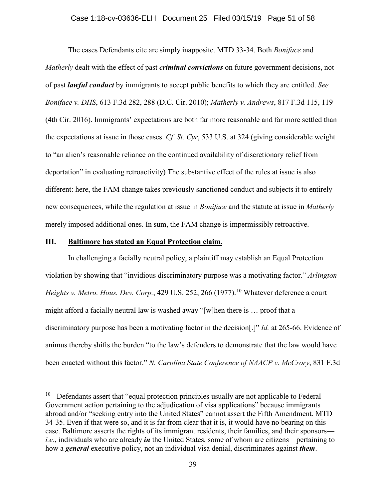### Case 1:18-cv-03636-ELH Document 25 Filed 03/15/19 Page 51 of 58

The cases Defendants cite are simply inapposite. MTD 33-34. Both *Boniface* and *Matherly* dealt with the effect of past *criminal convictions* on future government decisions, not of past *lawful conduct* by immigrants to accept public benefits to which they are entitled. *See Boniface v. DHS*, 613 F.3d 282, 288 (D.C. Cir. 2010); *Matherly v. Andrews*, 817 F.3d 115, 119 (4th Cir. 2016). Immigrants' expectations are both far more reasonable and far more settled than the expectations at issue in those cases. *Cf*. *St. Cyr*, 533 U.S. at 324 (giving considerable weight to "an alien's reasonable reliance on the continued availability of discretionary relief from deportation" in evaluating retroactivity) The substantive effect of the rules at issue is also different: here, the FAM change takes previously sanctioned conduct and subjects it to entirely new consequences, while the regulation at issue in *Boniface* and the statute at issue in *Matherly*  merely imposed additional ones. In sum, the FAM change is impermissibly retroactive.

### **III. Baltimore has stated an Equal Protection claim.**

In challenging a facially neutral policy, a plaintiff may establish an Equal Protection violation by showing that "invidious discriminatory purpose was a motivating factor." *Arlington Heights v. Metro. Hous. Dev. Corp.*, 429 U.S. 252, 266 (1977).<sup>10</sup> Whatever deference a court might afford a facially neutral law is washed away "[w]hen there is … proof that a discriminatory purpose has been a motivating factor in the decision[.]" *Id.* at 265-66. Evidence of animus thereby shifts the burden "to the law's defenders to demonstrate that the law would have been enacted without this factor." *N. Carolina State Conference of NAACP v. McCrory*, 831 F.3d

 $10$  Defendants assert that "equal protection principles usually are not applicable to Federal Government action pertaining to the adjudication of visa applications" because immigrants abroad and/or "seeking entry into the United States" cannot assert the Fifth Amendment. MTD 34-35. Even if that were so, and it is far from clear that it is, it would have no bearing on this case. Baltimore asserts the rights of its immigrant residents, their families, and their sponsors *i.e.*, individuals who are already *in* the United States, some of whom are citizens—pertaining to how a *general* executive policy, not an individual visa denial, discriminates against *them*.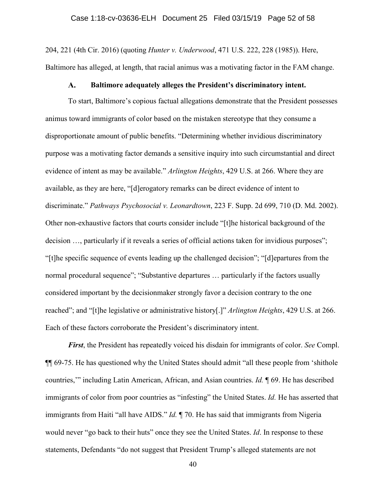204, 221 (4th Cir. 2016) (quoting *Hunter v. Underwood*, 471 U.S. 222, 228 (1985)). Here, Baltimore has alleged, at length, that racial animus was a motivating factor in the FAM change.

#### $\mathbf{A}$ . **Baltimore adequately alleges the President's discriminatory intent.**

To start, Baltimore's copious factual allegations demonstrate that the President possesses animus toward immigrants of color based on the mistaken stereotype that they consume a disproportionate amount of public benefits. "Determining whether invidious discriminatory purpose was a motivating factor demands a sensitive inquiry into such circumstantial and direct evidence of intent as may be available." *Arlington Heights*, 429 U.S. at 266. Where they are available, as they are here, "[d]erogatory remarks can be direct evidence of intent to discriminate." *Pathways Psychosocial v. Leonardtown*, 223 F. Supp. 2d 699, 710 (D. Md. 2002). Other non-exhaustive factors that courts consider include "[t]he historical background of the decision …, particularly if it reveals a series of official actions taken for invidious purposes"; "[t]he specific sequence of events leading up the challenged decision"; "[d]epartures from the normal procedural sequence"; "Substantive departures … particularly if the factors usually considered important by the decisionmaker strongly favor a decision contrary to the one reached"; and "[t]he legislative or administrative history[.]" *Arlington Heights*, 429 U.S. at 266. Each of these factors corroborate the President's discriminatory intent.

*First*, the President has repeatedly voiced his disdain for immigrants of color. *See* Compl. ¶¶ 69-75. He has questioned why the United States should admit "all these people from 'shithole countries,'" including Latin American, African, and Asian countries. *Id.* ¶ 69. He has described immigrants of color from poor countries as "infesting" the United States. *Id.* He has asserted that immigrants from Haiti "all have AIDS." *Id.* ¶ 70. He has said that immigrants from Nigeria would never "go back to their huts" once they see the United States. *Id*. In response to these statements, Defendants "do not suggest that President Trump's alleged statements are not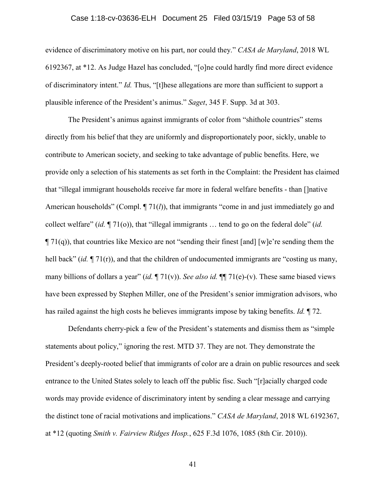### Case 1:18-cv-03636-ELH Document 25 Filed 03/15/19 Page 53 of 58

evidence of discriminatory motive on his part, nor could they." *CASA de Maryland*, 2018 WL 6192367, at \*12. As Judge Hazel has concluded, "[o]ne could hardly find more direct evidence of discriminatory intent." *Id.* Thus, "[t]hese allegations are more than sufficient to support a plausible inference of the President's animus." *Saget*, 345 F. Supp. 3d at 303.

The President's animus against immigrants of color from "shithole countries" stems directly from his belief that they are uniformly and disproportionately poor, sickly, unable to contribute to American society, and seeking to take advantage of public benefits. Here, we provide only a selection of his statements as set forth in the Complaint: the President has claimed that "illegal immigrant households receive far more in federal welfare benefits - than []native American households" (Compl.  $\P$  71(*l*)), that immigrants "come in and just immediately go and collect welfare" (*id.* ¶ 71(o)), that "illegal immigrants … tend to go on the federal dole" (*id.*  $\P$  71(q)), that countries like Mexico are not "sending their finest [and] [w]e're sending them the hell back" *(id.*  $\P$  71(r)), and that the children of undocumented immigrants are "costing us many, many billions of dollars a year" (*id.* ¶ 71(v)). *See also id.* ¶¶ 71(e)-(v). These same biased views have been expressed by Stephen Miller, one of the President's senior immigration advisors, who has railed against the high costs he believes immigrants impose by taking benefits. *Id.* ¶ 72.

Defendants cherry-pick a few of the President's statements and dismiss them as "simple statements about policy," ignoring the rest. MTD 37. They are not. They demonstrate the President's deeply-rooted belief that immigrants of color are a drain on public resources and seek entrance to the United States solely to leach off the public fisc. Such "[r]acially charged code words may provide evidence of discriminatory intent by sending a clear message and carrying the distinct tone of racial motivations and implications." *CASA de Maryland*, 2018 WL 6192367, at \*12 (quoting *Smith v. Fairview Ridges Hosp.*, 625 F.3d 1076, 1085 (8th Cir. 2010)).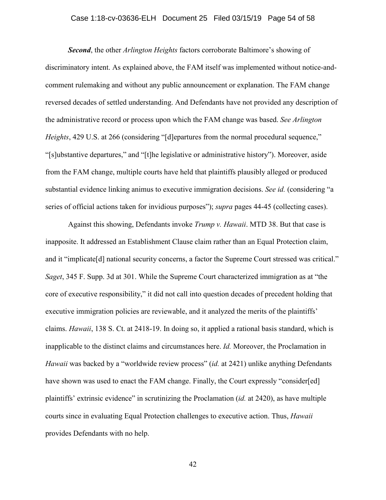### Case 1:18-cv-03636-ELH Document 25 Filed 03/15/19 Page 54 of 58

*Second*, the other *Arlington Heights* factors corroborate Baltimore's showing of discriminatory intent. As explained above, the FAM itself was implemented without notice-andcomment rulemaking and without any public announcement or explanation. The FAM change reversed decades of settled understanding. And Defendants have not provided any description of the administrative record or process upon which the FAM change was based. *See Arlington Heights*, 429 U.S. at 266 (considering "[d]epartures from the normal procedural sequence," "[s]ubstantive departures," and "[t]he legislative or administrative history"). Moreover, aside from the FAM change, multiple courts have held that plaintiffs plausibly alleged or produced substantial evidence linking animus to executive immigration decisions. *See id.* (considering "a series of official actions taken for invidious purposes"); *supra* pages 44-45 (collecting cases).

Against this showing, Defendants invoke *Trump v. Hawaii*. MTD 38. But that case is inapposite. It addressed an Establishment Clause claim rather than an Equal Protection claim, and it "implicate<sup>[d]</sup> national security concerns, a factor the Supreme Court stressed was critical." *Saget*, 345 F. Supp. 3d at 301. While the Supreme Court characterized immigration as at "the core of executive responsibility," it did not call into question decades of precedent holding that executive immigration policies are reviewable, and it analyzed the merits of the plaintiffs' claims. *Hawaii*, 138 S. Ct. at 2418-19. In doing so, it applied a rational basis standard, which is inapplicable to the distinct claims and circumstances here. *Id.* Moreover, the Proclamation in *Hawaii* was backed by a "worldwide review process" (*id.* at 2421) unlike anything Defendants have shown was used to enact the FAM change. Finally, the Court expressly "consider[ed] plaintiffs' extrinsic evidence" in scrutinizing the Proclamation (*id.* at 2420), as have multiple courts since in evaluating Equal Protection challenges to executive action. Thus, *Hawaii* provides Defendants with no help.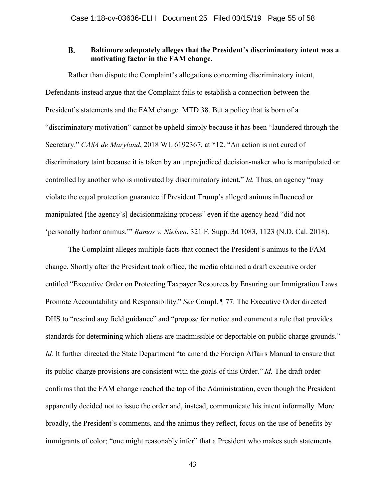#### **B. Baltimore adequately alleges that the President's discriminatory intent was a motivating factor in the FAM change.**

Rather than dispute the Complaint's allegations concerning discriminatory intent, Defendants instead argue that the Complaint fails to establish a connection between the President's statements and the FAM change. MTD 38. But a policy that is born of a "discriminatory motivation" cannot be upheld simply because it has been "laundered through the Secretary." *CASA de Maryland*, 2018 WL 6192367, at \*12. "An action is not cured of discriminatory taint because it is taken by an unprejudiced decision-maker who is manipulated or controlled by another who is motivated by discriminatory intent." *Id.* Thus, an agency "may violate the equal protection guarantee if President Trump's alleged animus influenced or manipulated [the agency's] decisionmaking process" even if the agency head "did not 'personally harbor animus.'" *Ramos v. Nielsen*, 321 F. Supp. 3d 1083, 1123 (N.D. Cal. 2018).

The Complaint alleges multiple facts that connect the President's animus to the FAM change. Shortly after the President took office, the media obtained a draft executive order entitled "Executive Order on Protecting Taxpayer Resources by Ensuring our Immigration Laws Promote Accountability and Responsibility." *See* Compl. ¶ 77. The Executive Order directed DHS to "rescind any field guidance" and "propose for notice and comment a rule that provides standards for determining which aliens are inadmissible or deportable on public charge grounds." *Id.* It further directed the State Department "to amend the Foreign Affairs Manual to ensure that its public-charge provisions are consistent with the goals of this Order." *Id.* The draft order confirms that the FAM change reached the top of the Administration, even though the President apparently decided not to issue the order and, instead, communicate his intent informally. More broadly, the President's comments, and the animus they reflect, focus on the use of benefits by immigrants of color; "one might reasonably infer" that a President who makes such statements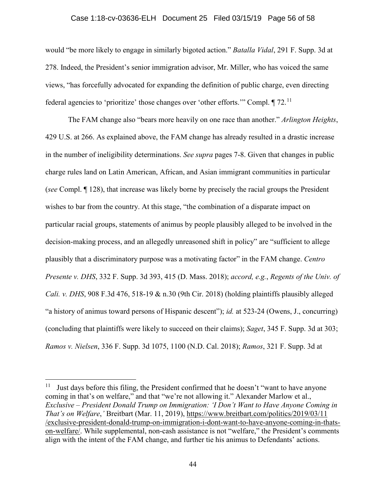### Case 1:18-cv-03636-ELH Document 25 Filed 03/15/19 Page 56 of 58

would "be more likely to engage in similarly bigoted action." *Batalla Vidal*, 291 F. Supp. 3d at 278. Indeed, the President's senior immigration advisor, Mr. Miller, who has voiced the same views, "has forcefully advocated for expanding the definition of public charge, even directing federal agencies to 'prioritize' those changes over 'other efforts.'" Compl. ¶ 72.<sup>11</sup>

The FAM change also "bears more heavily on one race than another." *Arlington Heights*, 429 U.S. at 266. As explained above, the FAM change has already resulted in a drastic increase in the number of ineligibility determinations. *See supra* pages 7-8. Given that changes in public charge rules land on Latin American, African, and Asian immigrant communities in particular (*see* Compl. ¶ 128), that increase was likely borne by precisely the racial groups the President wishes to bar from the country. At this stage, "the combination of a disparate impact on particular racial groups, statements of animus by people plausibly alleged to be involved in the decision-making process, and an allegedly unreasoned shift in policy" are "sufficient to allege plausibly that a discriminatory purpose was a motivating factor" in the FAM change. *Centro Presente v. DHS*, 332 F. Supp. 3d 393, 415 (D. Mass. 2018); *accord, e.g.*, *Regents of the Univ. of Cali. v. DHS*, 908 F.3d 476, 518-19 & n.30 (9th Cir. 2018) (holding plaintiffs plausibly alleged "a history of animus toward persons of Hispanic descent"); *id.* at 523-24 (Owens, J., concurring) (concluding that plaintiffs were likely to succeed on their claims); *Saget*, 345 F. Supp. 3d at 303; *Ramos v. Nielsen*, 336 F. Supp. 3d 1075, 1100 (N.D. Cal. 2018); *Ramos*, 321 F. Supp. 3d at

<sup>&</sup>lt;sup>11</sup> Just days before this filing, the President confirmed that he doesn't "want to have anyone" coming in that's on welfare," and that "we're not allowing it." Alexander Marlow et al., *Exclusive – President Donald Trump on Immigration: 'I Don't Want to Have Anyone Coming in That's on Welfare*,*'* Breitbart (Mar. 11, 2019), https://www.breitbart.com/politics/2019/03/11 /exclusive-president-donald-trump-on-immigration-i-dont-want-to-have-anyone-coming-in-thatson-welfare/. While supplemental, non-cash assistance is not "welfare," the President's comments align with the intent of the FAM change, and further tie his animus to Defendants' actions.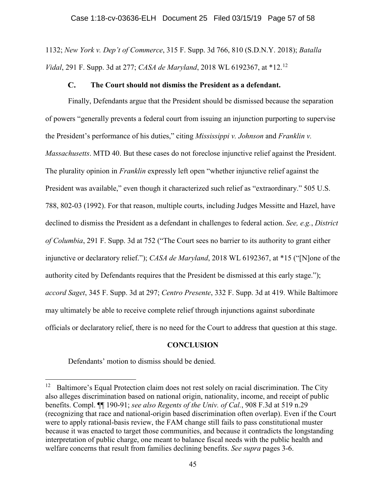1132; *New York v. Dep't of Commerce*, 315 F. Supp. 3d 766, 810 (S.D.N.Y. 2018); *Batalla Vidal*, 291 F. Supp. 3d at 277; *CASA de Maryland*, 2018 WL 6192367, at \*12. 12

#### $\mathbf{C}$ . **The Court should not dismiss the President as a defendant.**

Finally, Defendants argue that the President should be dismissed because the separation of powers "generally prevents a federal court from issuing an injunction purporting to supervise the President's performance of his duties," citing *Mississippi v. Johnson* and *Franklin v. Massachusetts*. MTD 40. But these cases do not foreclose injunctive relief against the President. The plurality opinion in *Franklin* expressly left open "whether injunctive relief against the President was available," even though it characterized such relief as "extraordinary." 505 U.S. 788, 802-03 (1992). For that reason, multiple courts, including Judges Messitte and Hazel, have declined to dismiss the President as a defendant in challenges to federal action. *See, e.g.*, *District of Columbia*, 291 F. Supp. 3d at 752 ("The Court sees no barrier to its authority to grant either injunctive or declaratory relief."); *CASA de Maryland*, 2018 WL 6192367, at \*15 ("[N]one of the authority cited by Defendants requires that the President be dismissed at this early stage."); *accord Saget*, 345 F. Supp. 3d at 297; *Centro Presente*, 332 F. Supp. 3d at 419. While Baltimore may ultimately be able to receive complete relief through injunctions against subordinate officials or declaratory relief, there is no need for the Court to address that question at this stage.

### **CONCLUSION**

Defendants' motion to dismiss should be denied.

 $12$  Baltimore's Equal Protection claim does not rest solely on racial discrimination. The City also alleges discrimination based on national origin, nationality, income, and receipt of public benefits. Compl. ¶¶ 190-91; *see also Regents of the Univ. of Cal.*, 908 F.3d at 519 n.29 (recognizing that race and national-origin based discrimination often overlap). Even if the Court were to apply rational-basis review, the FAM change still fails to pass constitutional muster because it was enacted to target those communities, and because it contradicts the longstanding interpretation of public charge, one meant to balance fiscal needs with the public health and welfare concerns that result from families declining benefits. *See supra* pages 3-6.